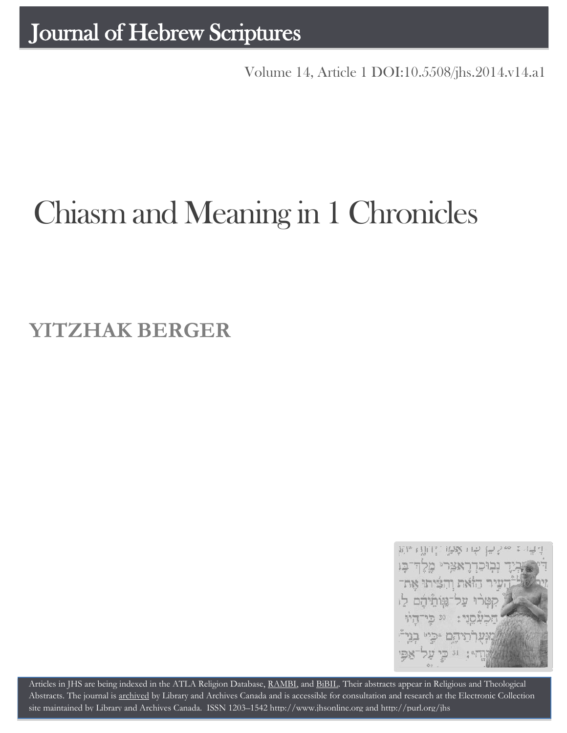Volume 14, Article 1 DOI:10.5508/jhs.2014.v14.a1

# Chiasm and Meaning in 1 Chronicles

# **YITZHAK BERGER**



Articles in JHS are being indexed in the ATLA Religion Database, [RAMBI,](http://jnul.huji.ac.il/rambi/) an[d BiBIL.](http://bibil.net/) Their abstracts appear in Religious and Theological Abstracts. The journal is [archived](http://epe.lac-bac.gc.ca/100/201/300/journal_hebrew/index.html) by Library and Archives Canada and is accessible for consultation and research at the Electronic Collection site maintained b[y Library and Archives Canada.](http://collectionscanada.ca/electroniccollection/003008-200-e.html) ISSN 1203–154[2 http://www.jhsonline.org](http://www.jhsonline.org/) and<http://purl.org/jhs>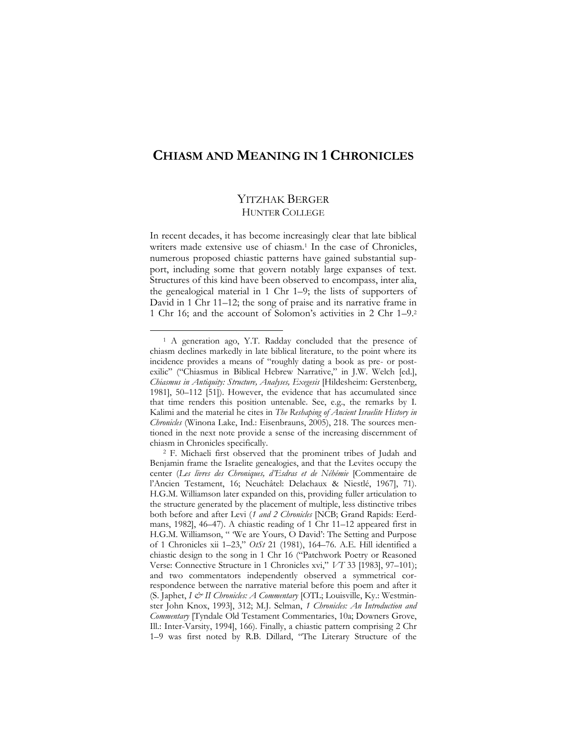# **CHIASM AND MEANING IN 1 CHRONICLES**

# YITZHAK BERGER HUNTER COLLEGE

In recent decades, it has become increasingly clear that late biblical writers made extensive use of chiasm.<sup>1</sup> In the case of Chronicles, numerous proposed chiastic patterns have gained substantial support, including some that govern notably large expanses of text. Structures of this kind have been observed to encompass, inter alia, the genealogical material in 1 Chr 1–9; the lists of supporters of David in 1 Chr 11–12; the song of praise and its narrative frame in 1 Chr 16; and the account of Solomon's activities in 2 Chr 1–9.<sup>2</sup>

<sup>1</sup> A generation ago, Y.T. Radday concluded that the presence of chiasm declines markedly in late biblical literature, to the point where its incidence provides a means of "roughly dating a book as pre- or postexilic" ("Chiasmus in Biblical Hebrew Narrative," in J.W. Welch [ed.], *Chiasmus in Antiquity: Structure, Analyses, Exegesis* [Hildesheim: Gerstenberg, 1981], 50–112 [51]). However, the evidence that has accumulated since that time renders this position untenable. See, e.g., the remarks by I. Kalimi and the material he cites in *The Reshaping of Ancient Israelite History in Chronicles* (Winona Lake, Ind.: Eisenbrauns, 2005), 218. The sources mentioned in the next note provide a sense of the increasing discernment of chiasm in Chronicles specifically.

<sup>2</sup> F. Michaeli first observed that the prominent tribes of Judah and Benjamin frame the Israelite genealogies, and that the Levites occupy the center (*Les livres des Chroniques, d'Esdras et de Néhémie* [Commentaire de l'Ancien Testament, 16; Neuchâtel: Delachaux & Niestlé, 1967], 71). H.G.M. Williamson later expanded on this, providing fuller articulation to the structure generated by the placement of multiple, less distinctive tribes both before and after Levi (*1 and 2 Chronicles* [NCB; Grand Rapids: Eerdmans, 1982], 46–47). A chiastic reading of 1 Chr 11–12 appeared first in H.G.M. Williamson, " 'We are Yours, O David': The Setting and Purpose of 1 Chronicles xii 1–23," *OtSt* 21 (1981), 164–76. A.E. Hill identified a chiastic design to the song in 1 Chr 16 ("Patchwork Poetry or Reasoned Verse: Connective Structure in 1 Chronicles xvi," *VT* 33 [1983], 97–101); and two commentators independently observed a symmetrical correspondence between the narrative material before this poem and after it (S. Japhet, *I & II Chronicles: A Commentary* [OTL; Louisville, Ky.: Westminster John Knox, 1993], 312; M.J. Selman, *1 Chronicles: An Introduction and Commentary* [Tyndale Old Testament Commentaries, 10a; Downers Grove, Ill.: Inter-Varsity, 1994], 166). Finally, a chiastic pattern comprising 2 Chr 1–9 was first noted by R.B. Dillard, "The Literary Structure of the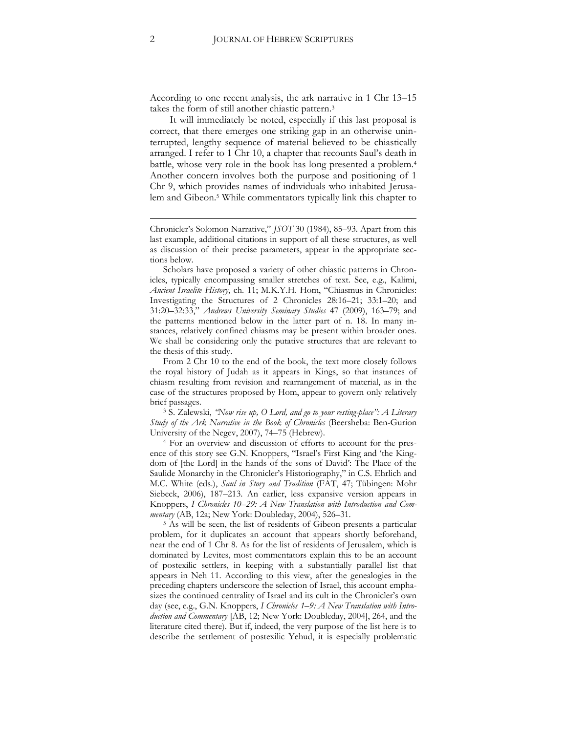According to one recent analysis, the ark narrative in 1 Chr 13–15 takes the form of still another chiastic pattern.<sup>3</sup>

It will immediately be noted, especially if this last proposal is correct, that there emerges one striking gap in an otherwise uninterrupted, lengthy sequence of material believed to be chiastically arranged. I refer to 1 Chr 10, a chapter that recounts Saul's death in battle, whose very role in the book has long presented a problem.<sup>4</sup> Another concern involves both the purpose and positioning of 1 Chr 9, which provides names of individuals who inhabited Jerusalem and Gibeon.<sup>5</sup> While commentators typically link this chapter to

Scholars have proposed a variety of other chiastic patterns in Chronicles, typically encompassing smaller stretches of text. See, e.g., Kalimi, *Ancient Israelite History*, ch. 11; M.K.Y.H. Hom, "Chiasmus in Chronicles: Investigating the Structures of 2 Chronicles 28:16–21; 33:1–20; and 31:20–32:33," *Andrews University Seminary Studies* 47 (2009), 163–79; and the patterns mentioned below in the latter part of n. 18. In many instances, relatively confined chiasms may be present within broader ones. We shall be considering only the putative structures that are relevant to the thesis of this study.

From 2 Chr 10 to the end of the book, the text more closely follows the royal history of Judah as it appears in Kings, so that instances of chiasm resulting from revision and rearrangement of material, as in the case of the structures proposed by Hom, appear to govern only relatively brief passages.

<sup>3</sup> S. Zalewski, *"Now rise up, O Lord, and go to your resting-place": A Literary Study of the Ark Narrative in the Book of Chronicles* (Beersheba: Ben-Gurion University of the Negev, 2007), 74–75 (Hebrew).

<sup>4</sup> For an overview and discussion of efforts to account for the presence of this story see G.N. Knoppers, "Israel's First King and 'the Kingdom of [the Lord] in the hands of the sons of David': The Place of the Saulide Monarchy in the Chronicler's Historiography," in C.S. Ehrlich and M.C. White (eds.), *Saul in Story and Tradition* (FAT, 47; Tübingen: Mohr Siebeck, 2006), 187–213. An earlier, less expansive version appears in Knoppers, *I Chronicles 10–29: A New Translation with Introduction and Commentary* (AB, 12a; New York: Doubleday, 2004), 526–31.

<sup>5</sup> As will be seen, the list of residents of Gibeon presents a particular problem, for it duplicates an account that appears shortly beforehand, near the end of 1 Chr 8. As for the list of residents of Jerusalem, which is dominated by Levites, most commentators explain this to be an account of postexilic settlers, in keeping with a substantially parallel list that appears in Neh 11. According to this view, after the genealogies in the preceding chapters underscore the selection of Israel, this account emphasizes the continued centrality of Israel and its cult in the Chronicler's own day (see, e.g., G.N. Knoppers, *I Chronicles 1–9: A New Translation with Introduction and Commentary* [AB, 12; New York: Doubleday, 2004], 264, and the literature cited there). But if, indeed, the very purpose of the list here is to describe the settlement of postexilic Yehud, it is especially problematic

1

Chronicler's Solomon Narrative," *JSOT* 30 (1984), 85–93. Apart from this last example, additional citations in support of all these structures, as well as discussion of their precise parameters, appear in the appropriate sections below.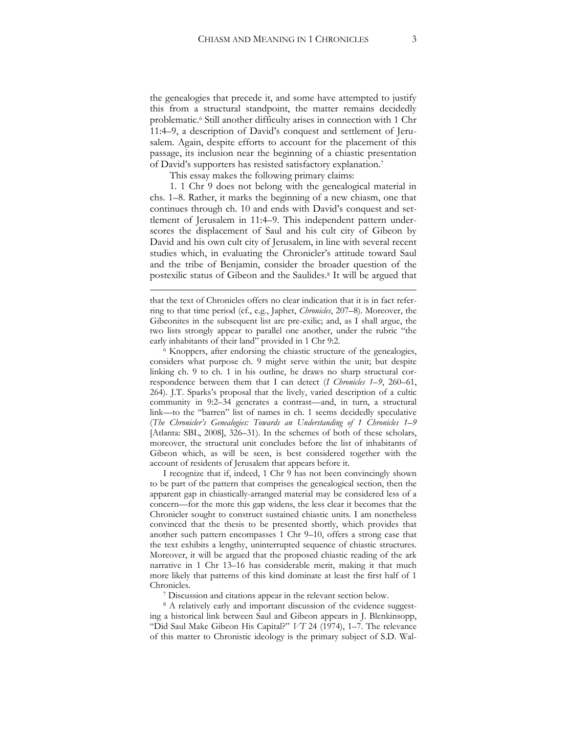the genealogies that precede it, and some have attempted to justify this from a structural standpoint, the matter remains decidedly problematic.<sup>6</sup> Still another difficulty arises in connection with 1 Chr 11:4–9, a description of David's conquest and settlement of Jerusalem. Again, despite efforts to account for the placement of this passage, its inclusion near the beginning of a chiastic presentation of David's supporters has resisted satisfactory explanation.<sup>7</sup>

This essay makes the following primary claims:

<u>.</u>

1. 1 Chr 9 does not belong with the genealogical material in chs. 1–8. Rather, it marks the beginning of a new chiasm, one that continues through ch. 10 and ends with David's conquest and settlement of Jerusalem in 11:4–9. This independent pattern underscores the displacement of Saul and his cult city of Gibeon by David and his own cult city of Jerusalem, in line with several recent studies which, in evaluating the Chronicler's attitude toward Saul and the tribe of Benjamin, consider the broader question of the postexilic status of Gibeon and the Saulides. <sup>8</sup> It will be argued that

<sup>6</sup> Knoppers, after endorsing the chiastic structure of the genealogies, considers what purpose ch. 9 might serve within the unit; but despite linking ch. 9 to ch. 1 in his outline, he draws no sharp structural correspondence between them that I can detect (*I Chronicles 1–9*, 260–61, 264). J.T. Sparks's proposal that the lively, varied description of a cultic community in 9:2–34 generates a contrast—and, in turn, a structural link—to the "barren" list of names in ch. 1 seems decidedly speculative (*The Chronicler's Genealogies: Towards an Understanding of 1 Chronicles 1–9* [Atlanta: SBL, 2008], 326–31). In the schemes of both of these scholars, moreover, the structural unit concludes before the list of inhabitants of Gibeon which, as will be seen, is best considered together with the account of residents of Jerusalem that appears before it.

I recognize that if, indeed, 1 Chr 9 has not been convincingly shown to be part of the pattern that comprises the genealogical section, then the apparent gap in chiastically-arranged material may be considered less of a concern—for the more this gap widens, the less clear it becomes that the Chronicler sought to construct sustained chiastic units. I am nonetheless convinced that the thesis to be presented shortly, which provides that another such pattern encompasses 1 Chr 9–10, offers a strong case that the text exhibits a lengthy, uninterrupted sequence of chiastic structures. Moreover, it will be argued that the proposed chiastic reading of the ark narrative in 1 Chr 13–16 has considerable merit, making it that much more likely that patterns of this kind dominate at least the first half of 1 Chronicles.

<sup>7</sup> Discussion and citations appear in the relevant section below.

<sup>8</sup> A relatively early and important discussion of the evidence suggesting a historical link between Saul and Gibeon appears in J. Blenkinsopp, "Did Saul Make Gibeon His Capital?" *VT* 24 (1974), 1–7. The relevance of this matter to Chronistic ideology is the primary subject of S.D. Wal-

that the text of Chronicles offers no clear indication that it is in fact referring to that time period (cf., e.g., Japhet, *Chronicles*, 207–8). Moreover, the Gibeonites in the subsequent list are pre-exilic; and, as I shall argue, the two lists strongly appear to parallel one another, under the rubric "the early inhabitants of their land" provided in 1 Chr 9:2.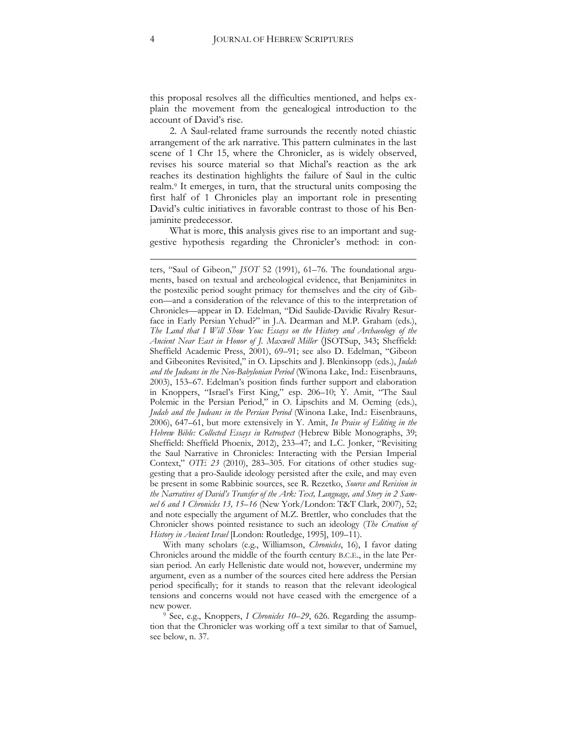this proposal resolves all the difficulties mentioned, and helps explain the movement from the genealogical introduction to the account of David's rise.

2. A Saul-related frame surrounds the recently noted chiastic arrangement of the ark narrative. This pattern culminates in the last scene of 1 Chr 15, where the Chronicler, as is widely observed, revises his source material so that Michal's reaction as the ark reaches its destination highlights the failure of Saul in the cultic realm.<sup>9</sup> It emerges, in turn, that the structural units composing the first half of 1 Chronicles play an important role in presenting David's cultic initiatives in favorable contrast to those of his Benjaminite predecessor.

What is more, this analysis gives rise to an important and suggestive hypothesis regarding the Chronicler's method: in con-

With many scholars (e.g., Williamson, *Chronicles*, 16), I favor dating Chronicles around the middle of the fourth century B.C.E., in the late Persian period. An early Hellenistic date would not, however, undermine my argument, even as a number of the sources cited here address the Persian period specifically; for it stands to reason that the relevant ideological tensions and concerns would not have ceased with the emergence of a new power.

<sup>9</sup> See, e.g., Knoppers, *I Chronicles 10–29*, 626. Regarding the assumption that the Chronicler was working off a text similar to that of Samuel, see below, n. 37.

<u>.</u>

ters, "Saul of Gibeon," *JSOT* 52 (1991), 61–76. The foundational arguments, based on textual and archeological evidence, that Benjaminites in the postexilic period sought primacy for themselves and the city of Gibeon—and a consideration of the relevance of this to the interpretation of Chronicles—appear in D. Edelman, "Did Saulide-Davidic Rivalry Resurface in Early Persian Yehud?" in J.A. Dearman and M.P. Graham (eds.), *The Land that I Will Show You: Essays on the History and Archaeology of the Ancient Near East in Honor of J. Maxwell Miller* (JSOTSup, 343; Sheffield: Sheffield Academic Press, 2001), 69–91; see also D. Edelman, "Gibeon and Gibeonites Revisited," in O. Lipschits and J. Blenkinsopp (eds.), *Judah and the Judeans in the Neo-Babylonian Period* (Winona Lake, Ind.: Eisenbrauns, 2003), 153–67. Edelman's position finds further support and elaboration in Knoppers, "Israel's First King," esp. 206–10; Y. Amit, "The Saul Polemic in the Persian Period," in O. Lipschits and M. Oeming (eds.), *Judah and the Judeans in the Persian Period* (Winona Lake, Ind.: Eisenbrauns, 2006), 647–61, but more extensively in Y. Amit, *In Praise of Editing in the Hebrew Bible: Collected Essays in Retrospect* (Hebrew Bible Monographs, 39; Sheffield: Sheffield Phoenix, 2012), 233–47; and L.C. Jonker, "Revisiting the Saul Narrative in Chronicles: Interacting with the Persian Imperial Context," *OTE 23* (2010), 283–305. For citations of other studies suggesting that a pro-Saulide ideology persisted after the exile, and may even be present in some Rabbinic sources, see R. Rezetko, *Source and Revision in the Narratives of David's Transfer of the Ark: Text, Language, and Story in 2 Samuel 6 and 1 Chronicles 13, 15–16* (New York/London: T&T Clark, 2007), 52; and note especially the argument of M.Z. Brettler, who concludes that the Chronicler shows pointed resistance to such an ideology (*The Creation of History in Ancient Israel* [London: Routledge, 1995], 109–11).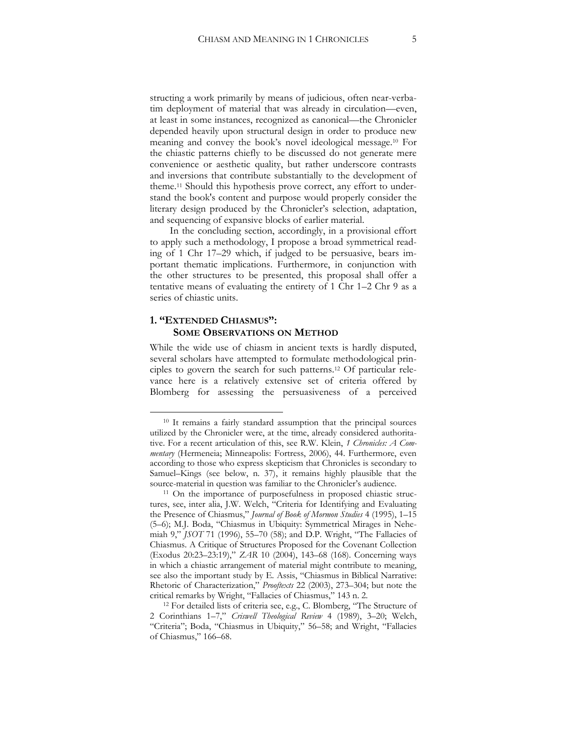structing a work primarily by means of judicious, often near-verbatim deployment of material that was already in circulation—even, at least in some instances, recognized as canonical—the Chronicler depended heavily upon structural design in order to produce new meaning and convey the book's novel ideological message.<sup>10</sup> For the chiastic patterns chiefly to be discussed do not generate mere convenience or aesthetic quality, but rather underscore contrasts and inversions that contribute substantially to the development of theme.<sup>11</sup> Should this hypothesis prove correct, any effort to understand the book's content and purpose would properly consider the literary design produced by the Chronicler's selection, adaptation, and sequencing of expansive blocks of earlier material.

In the concluding section, accordingly, in a provisional effort to apply such a methodology, I propose a broad symmetrical reading of 1 Chr 17–29 which, if judged to be persuasive, bears important thematic implications. Furthermore, in conjunction with the other structures to be presented, this proposal shall offer a tentative means of evaluating the entirety of 1 Chr 1–2 Chr 9 as a series of chiastic units.

#### **1. "EXTENDED CHIASMUS": SOME OBSERVATIONS ON METHOD**

 $\overline{a}$ 

While the wide use of chiasm in ancient texts is hardly disputed, several scholars have attempted to formulate methodological principles to govern the search for such patterns. <sup>12</sup> Of particular relevance here is a relatively extensive set of criteria offered by Blomberg for assessing the persuasiveness of a perceived

<sup>10</sup> It remains a fairly standard assumption that the principal sources utilized by the Chronicler were, at the time, already considered authoritative. For a recent articulation of this, see R.W. Klein, *1 Chronicles: A Commentary* (Hermeneia; Minneapolis: Fortress, 2006), 44. Furthermore, even according to those who express skepticism that Chronicles is secondary to Samuel–Kings (see below, n. 37), it remains highly plausible that the source-material in question was familiar to the Chronicler's audience.

<sup>11</sup> On the importance of purposefulness in proposed chiastic structures, see, inter alia, J.W. Welch, "Criteria for Identifying and Evaluating the Presence of Chiasmus," *Journal of Book of Mormon Studies* 4 (1995), 1–15 (5–6); M.J. Boda, "Chiasmus in Ubiquity: Symmetrical Mirages in Nehemiah 9," *JSOT* 71 (1996), 55–70 (58); and D.P. Wright, "The Fallacies of Chiasmus. A Critique of Structures Proposed for the Covenant Collection (Exodus 20:23–23:19)," *ZAR* 10 (2004), 143–68 (168). Concerning ways in which a chiastic arrangement of material might contribute to meaning, see also the important study by E. Assis, "Chiasmus in Biblical Narrative: Rhetoric of Characterization," *Prooftexts* 22 (2003), 273–304; but note the critical remarks by Wright, "Fallacies of Chiasmus," 143 n. 2.

<sup>12</sup> For detailed lists of criteria see, e.g., C. Blomberg, "The Structure of 2 Corinthians 1–7," *Criswell Theological Review* 4 (1989), 3–20; Welch, "Criteria"; Boda, "Chiasmus in Ubiquity," 56–58; and Wright, "Fallacies of Chiasmus," 166–68.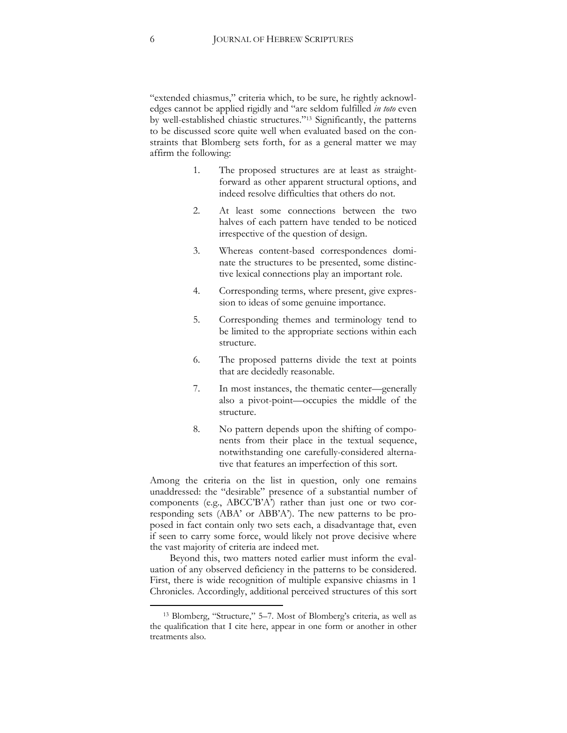"extended chiasmus," criteria which, to be sure, he rightly acknowledges cannot be applied rigidly and "are seldom fulfilled *in toto* even by well-established chiastic structures."<sup>13</sup> Significantly, the patterns to be discussed score quite well when evaluated based on the constraints that Blomberg sets forth, for as a general matter we may affirm the following:

- 1. The proposed structures are at least as straightforward as other apparent structural options, and indeed resolve difficulties that others do not.
- 2. At least some connections between the two halves of each pattern have tended to be noticed irrespective of the question of design.
- 3. Whereas content-based correspondences dominate the structures to be presented, some distinctive lexical connections play an important role.
- 4. Corresponding terms, where present, give expression to ideas of some genuine importance.
- 5. Corresponding themes and terminology tend to be limited to the appropriate sections within each structure.
- 6. The proposed patterns divide the text at points that are decidedly reasonable.
- 7. In most instances, the thematic center—generally also a pivot-point—occupies the middle of the structure.
- 8. No pattern depends upon the shifting of components from their place in the textual sequence, notwithstanding one carefully-considered alternative that features an imperfection of this sort.

Among the criteria on the list in question, only one remains unaddressed: the "desirable" presence of a substantial number of components (e.g., ABCC'B'A') rather than just one or two corresponding sets (ABA' or ABB'A'). The new patterns to be proposed in fact contain only two sets each, a disadvantage that, even if seen to carry some force, would likely not prove decisive where the vast majority of criteria are indeed met.

Beyond this, two matters noted earlier must inform the evaluation of any observed deficiency in the patterns to be considered. First, there is wide recognition of multiple expansive chiasms in 1 Chronicles. Accordingly, additional perceived structures of this sort

<sup>13</sup> Blomberg, "Structure," 5–7. Most of Blomberg's criteria, as well as the qualification that I cite here, appear in one form or another in other treatments also.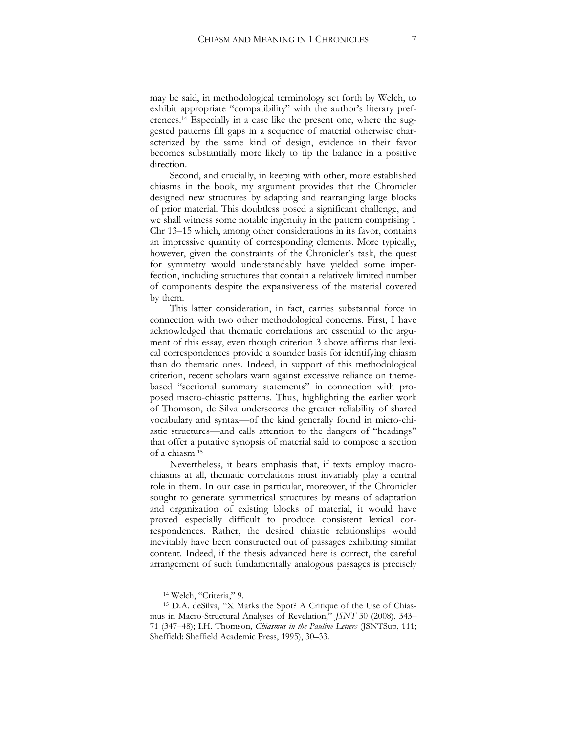may be said, in methodological terminology set forth by Welch, to exhibit appropriate "compatibility" with the author's literary preferences.<sup>14</sup> Especially in a case like the present one, where the suggested patterns fill gaps in a sequence of material otherwise characterized by the same kind of design, evidence in their favor becomes substantially more likely to tip the balance in a positive direction.

Second, and crucially, in keeping with other, more established chiasms in the book, my argument provides that the Chronicler designed new structures by adapting and rearranging large blocks of prior material. This doubtless posed a significant challenge, and we shall witness some notable ingenuity in the pattern comprising 1 Chr 13–15 which, among other considerations in its favor, contains an impressive quantity of corresponding elements. More typically, however, given the constraints of the Chronicler's task, the quest for symmetry would understandably have yielded some imperfection, including structures that contain a relatively limited number of components despite the expansiveness of the material covered by them.

This latter consideration, in fact, carries substantial force in connection with two other methodological concerns. First, I have acknowledged that thematic correlations are essential to the argument of this essay, even though criterion 3 above affirms that lexical correspondences provide a sounder basis for identifying chiasm than do thematic ones. Indeed, in support of this methodological criterion, recent scholars warn against excessive reliance on themebased "sectional summary statements" in connection with proposed macro-chiastic patterns. Thus, highlighting the earlier work of Thomson, de Silva underscores the greater reliability of shared vocabulary and syntax—of the kind generally found in micro-chiastic structures—and calls attention to the dangers of "headings" that offer a putative synopsis of material said to compose a section of a chiasm.<sup>15</sup>

Nevertheless, it bears emphasis that, if texts employ macrochiasms at all, thematic correlations must invariably play a central role in them. In our case in particular, moreover, if the Chronicler sought to generate symmetrical structures by means of adaptation and organization of existing blocks of material, it would have proved especially difficult to produce consistent lexical correspondences. Rather, the desired chiastic relationships would inevitably have been constructed out of passages exhibiting similar content. Indeed, if the thesis advanced here is correct, the careful arrangement of such fundamentally analogous passages is precisely

<sup>14</sup> Welch, "Criteria," 9.

<sup>15</sup> D.A. deSilva, "X Marks the Spot? A Critique of the Use of Chiasmus in Macro-Structural Analyses of Revelation," *JSNT* 30 (2008), 343– 71 (347–48); I.H. Thomson, *Chiasmus in the Pauline Letters* (JSNTSup, 111; Sheffield: Sheffield Academic Press, 1995), 30–33.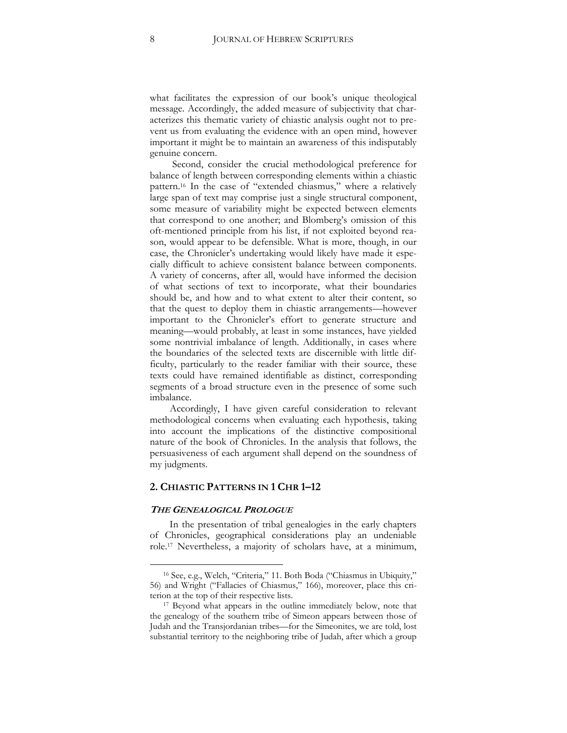what facilitates the expression of our book's unique theological message. Accordingly, the added measure of subjectivity that characterizes this thematic variety of chiastic analysis ought not to prevent us from evaluating the evidence with an open mind, however important it might be to maintain an awareness of this indisputably genuine concern.

Second, consider the crucial methodological preference for balance of length between corresponding elements within a chiastic pattern.<sup>16</sup> In the case of "extended chiasmus," where a relatively large span of text may comprise just a single structural component, some measure of variability might be expected between elements that correspond to one another; and Blomberg's omission of this oft-mentioned principle from his list, if not exploited beyond reason, would appear to be defensible. What is more, though, in our case, the Chronicler's undertaking would likely have made it especially difficult to achieve consistent balance between components. A variety of concerns, after all, would have informed the decision of what sections of text to incorporate, what their boundaries should be, and how and to what extent to alter their content, so that the quest to deploy them in chiastic arrangements—however important to the Chronicler's effort to generate structure and meaning—would probably, at least in some instances, have yielded some nontrivial imbalance of length. Additionally, in cases where the boundaries of the selected texts are discernible with little difficulty, particularly to the reader familiar with their source, these texts could have remained identifiable as distinct, corresponding segments of a broad structure even in the presence of some such imbalance.

Accordingly, I have given careful consideration to relevant methodological concerns when evaluating each hypothesis, taking into account the implications of the distinctive compositional nature of the book of Chronicles. In the analysis that follows, the persuasiveness of each argument shall depend on the soundness of my judgments.

#### **2. CHIASTIC PATTERNS IN 1 CHR 1–12**

#### **THE GENEALOGICAL PROLOGUE**

 $\overline{a}$ 

In the presentation of tribal genealogies in the early chapters of Chronicles, geographical considerations play an undeniable role.<sup>17</sup> Nevertheless, a majority of scholars have, at a minimum,

<sup>16</sup> See, e.g., Welch, "Criteria," 11. Both Boda ("Chiasmus in Ubiquity," 56) and Wright ("Fallacies of Chiasmus," 166), moreover, place this criterion at the top of their respective lists.

<sup>17</sup> Beyond what appears in the outline immediately below, note that the genealogy of the southern tribe of Simeon appears between those of Judah and the Transjordanian tribes—for the Simeonites, we are told, lost substantial territory to the neighboring tribe of Judah, after which a group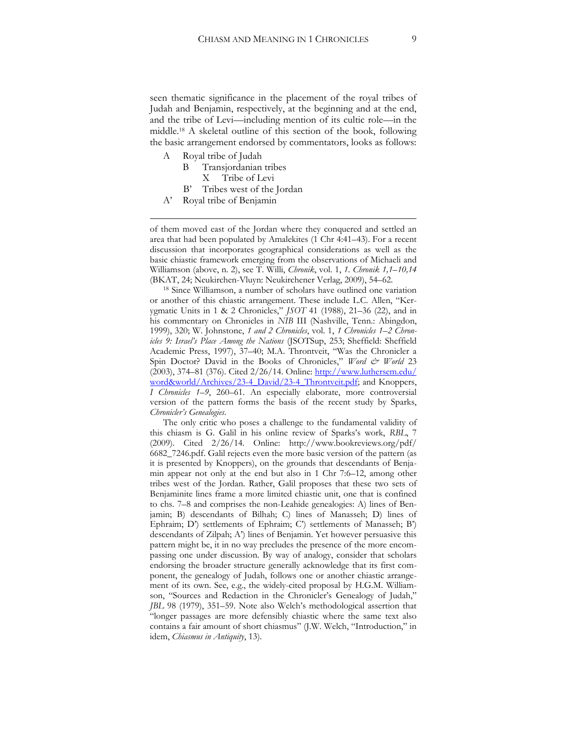seen thematic significance in the placement of the royal tribes of Judah and Benjamin, respectively, at the beginning and at the end, and the tribe of Levi—including mention of its cultic role—in the middle.<sup>18</sup> A skeletal outline of this section of the book, following the basic arrangement endorsed by commentators, looks as follows:

A Royal tribe of Judah

1

- B Transjordanian tribes
- X Tribe of Levi
- B' Tribes west of the Jordan
- A' Royal tribe of Benjamin

of them moved east of the Jordan where they conquered and settled an area that had been populated by Amalekites (1 Chr 4:41–43). For a recent discussion that incorporates geographical considerations as well as the basic chiastic framework emerging from the observations of Michaeli and Williamson (above, n. 2), see T. Willi, *Chronik*, vol. 1, *1. Chronik 1,1–10,14* (BKAT, 24; Neukirchen-Vluyn: Neukirchener Verlag, 2009), 54–62.

<sup>18</sup> Since Williamson, a number of scholars have outlined one variation or another of this chiastic arrangement. These include L.C. Allen, "Kerygmatic Units in 1 & 2 Chronicles," *JSOT* 41 (1988), 21–36 (22), and in his commentary on Chronicles in *NIB* III (Nashville, Tenn.: Abingdon, 1999), 320; W. Johnstone, *1 and 2 Chronicles*, vol. 1, *1 Chronicles 1–2 Chronicles 9: Israel's Place Among the Nations* (JSOTSup, 253; Sheffield: Sheffield Academic Press, 1997), 37–40; M.A. Throntveit, "Was the Chronicler a Spin Doctor? David in the Books of Chronicles," *Word & World* 23 (2003), 374–81 (376). Cited 2/26/14. Online: [http://www.luthersem.edu/](http://www.luthersem.edu/%20word&world/Archives/23-4_David/23-4_Throntveit.pdf)  [word&world/Archives/23-4](http://www.luthersem.edu/%20word&world/Archives/23-4_David/23-4_Throntveit.pdf)**\_**David/23-4**\_**Throntveit.pdf; and Knoppers, *I Chronicles 1–9*, 260–61. An especially elaborate, more controversial version of the pattern forms the basis of the recent study by Sparks, *Chronicler's Genealogies*.

The only critic who poses a challenge to the fundamental validity of this chiasm is G. Galil in his online review of Sparks's work, *RBL*, 7 (2009). Cited 2/26/14. Online: [http://www.bookreviews.org/pdf/](http://www.bookreviews.org/pdf/%206682_7246.pdf)  6682**\_**[7246.pdf.](http://www.bookreviews.org/pdf/%206682_7246.pdf) Galil rejects even the more basic version of the pattern (as it is presented by Knoppers), on the grounds that descendants of Benjamin appear not only at the end but also in 1 Chr 7:6–12, among other tribes west of the Jordan. Rather, Galil proposes that these two sets of Benjaminite lines frame a more limited chiastic unit, one that is confined to chs. 7–8 and comprises the non-Leahide genealogies: A) lines of Benjamin; B) descendants of Bilhah; C) lines of Manasseh; D) lines of Ephraim; D') settlements of Ephraim; C') settlements of Manasseh; B') descendants of Zilpah; A') lines of Benjamin. Yet however persuasive this pattern might be, it in no way precludes the presence of the more encompassing one under discussion. By way of analogy, consider that scholars endorsing the broader structure generally acknowledge that its first component, the genealogy of Judah, follows one or another chiastic arrangement of its own. See, e.g., the widely-cited proposal by H.G.M. Williamson, "Sources and Redaction in the Chronicler's Genealogy of Judah," *JBL* 98 (1979), 351–59. Note also Welch's methodological assertion that "longer passages are more defensibly chiastic where the same text also contains a fair amount of short chiasmus" (J.W. Welch, "Introduction," in idem, *Chiasmus in Antiquity*, 13).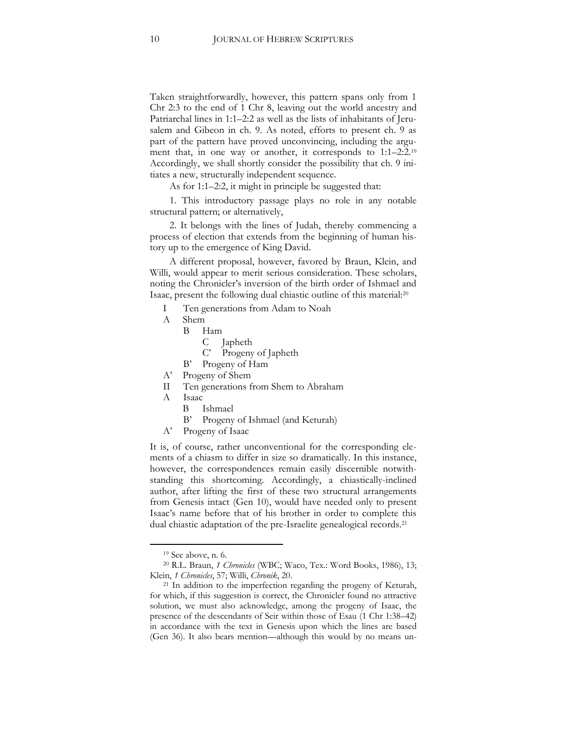Taken straightforwardly, however, this pattern spans only from 1 Chr 2:3 to the end of 1 Chr 8, leaving out the world ancestry and Patriarchal lines in 1:1–2:2 as well as the lists of inhabitants of Jerusalem and Gibeon in ch. 9. As noted, efforts to present ch. 9 as part of the pattern have proved unconvincing, including the argument that, in one way or another, it corresponds to 1:1–2:2. 19 Accordingly, we shall shortly consider the possibility that ch. 9 initiates a new, structurally independent sequence.

As for 1:1–2:2, it might in principle be suggested that:

1. This introductory passage plays no role in any notable structural pattern; or alternatively,

2. It belongs with the lines of Judah, thereby commencing a process of election that extends from the beginning of human history up to the emergence of King David.

A different proposal, however, favored by Braun, Klein, and Willi, would appear to merit serious consideration. These scholars, noting the Chronicler's inversion of the birth order of Ishmael and Isaac, present the following dual chiastic outline of this material: 20

- I Ten generations from Adam to Noah
- A Shem
	- B Ham
		- C Japheth
		- C' Progeny of Japheth
	- B' Progeny of Ham
- A' Progeny of Shem
- II Ten generations from Shem to Abraham
- A Isaac
	- B Ishmael
	- B' Progeny of Ishmael (and Keturah)
- A' Progeny of Isaac

It is, of course, rather unconventional for the corresponding elements of a chiasm to differ in size so dramatically. In this instance, however, the correspondences remain easily discernible notwithstanding this shortcoming. Accordingly, a chiastically-inclined author, after lifting the first of these two structural arrangements from Genesis intact (Gen 10), would have needed only to present Isaac's name before that of his brother in order to complete this dual chiastic adaptation of the pre-Israelite genealogical records. 21

<sup>19</sup> See above, n. 6.

<sup>20</sup> R.L. Braun, *1 Chronicles* (WBC; Waco, Tex.: Word Books, 1986), 13; Klein, *1 Chronicles*, 57; Willi, *Chronik*, 20.

<sup>&</sup>lt;sup>21</sup> In addition to the imperfection regarding the progeny of Keturah, for which, if this suggestion is correct, the Chronicler found no attractive solution, we must also acknowledge, among the progeny of Isaac, the presence of the descendants of Seir within those of Esau (1 Chr 1:38–42) in accordance with the text in Genesis upon which the lines are based (Gen 36). It also bears mention—although this would by no means un-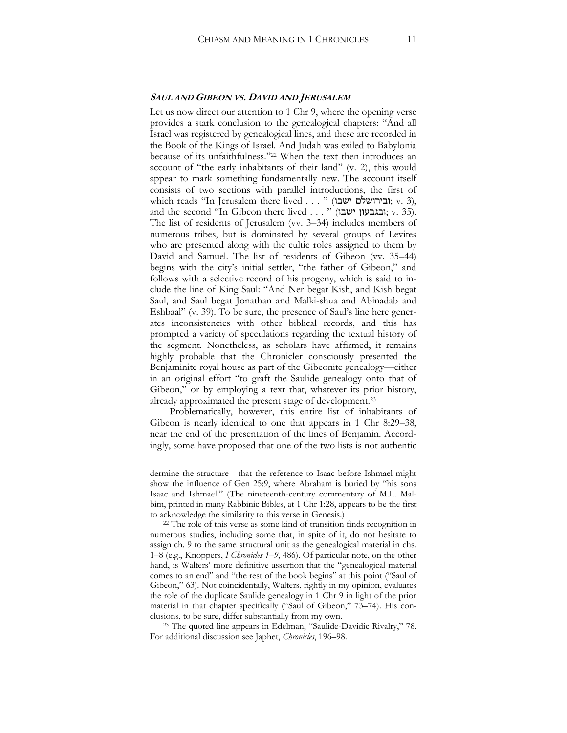#### **SAUL AND GIBEON VS. DAVID AND JERUSALEM**

Let us now direct our attention to 1 Chr 9, where the opening verse provides a stark conclusion to the genealogical chapters: "And all Israel was registered by genealogical lines, and these are recorded in the Book of the Kings of Israel. And Judah was exiled to Babylonia because of its unfaithfulness."<sup>22</sup> When the text then introduces an account of "the early inhabitants of their land" (v. 2), this would appear to mark something fundamentally new. The account itself consists of two sections with parallel introductions, the first of which reads "In Jerusalem there lived . . . " (ובירושלם ישבו, v. 3), and the second "In Gibeon there lived . . . " (ובגבעון ישבו, v. 35). The list of residents of Jerusalem (vv. 3–34) includes members of numerous tribes, but is dominated by several groups of Levites who are presented along with the cultic roles assigned to them by David and Samuel. The list of residents of Gibeon (vv. 35–44) begins with the city's initial settler, "the father of Gibeon," and follows with a selective record of his progeny, which is said to include the line of King Saul: "And Ner begat Kish, and Kish begat Saul, and Saul begat Jonathan and Malki-shua and Abinadab and Eshbaal" (v. 39). To be sure, the presence of Saul's line here generates inconsistencies with other biblical records, and this has prompted a variety of speculations regarding the textual history of the segment. Nonetheless, as scholars have affirmed, it remains highly probable that the Chronicler consciously presented the Benjaminite royal house as part of the Gibeonite genealogy—either in an original effort "to graft the Saulide genealogy onto that of Gibeon," or by employing a text that, whatever its prior history, already approximated the present stage of development.<sup>23</sup>

Problematically, however, this entire list of inhabitants of Gibeon is nearly identical to one that appears in 1 Chr 8:29–38, near the end of the presentation of the lines of Benjamin. Accordingly, some have proposed that one of the two lists is not authentic

1

<sup>23</sup> The quoted line appears in Edelman, "Saulide-Davidic Rivalry," 78. For additional discussion see Japhet, *Chronicles*, 196–98.

dermine the structure—that the reference to Isaac before Ishmael might show the influence of Gen 25:9, where Abraham is buried by "his sons Isaac and Ishmael." (The nineteenth-century commentary of M.L. Malbim, printed in many Rabbinic Bibles, at 1 Chr 1:28, appears to be the first to acknowledge the similarity to this verse in Genesis.)

<sup>&</sup>lt;sup>22</sup> The role of this verse as some kind of transition finds recognition in numerous studies, including some that, in spite of it, do not hesitate to assign ch. 9 to the same structural unit as the genealogical material in chs. 1–8 (e.g., Knoppers, *I Chronicles 1–9*, 486). Of particular note, on the other hand, is Walters' more definitive assertion that the "genealogical material comes to an end" and "the rest of the book begins" at this point ("Saul of Gibeon," 63). Not coincidentally, Walters, rightly in my opinion, evaluates the role of the duplicate Saulide genealogy in 1 Chr 9 in light of the prior material in that chapter specifically ("Saul of Gibeon," 73–74). His conclusions, to be sure, differ substantially from my own.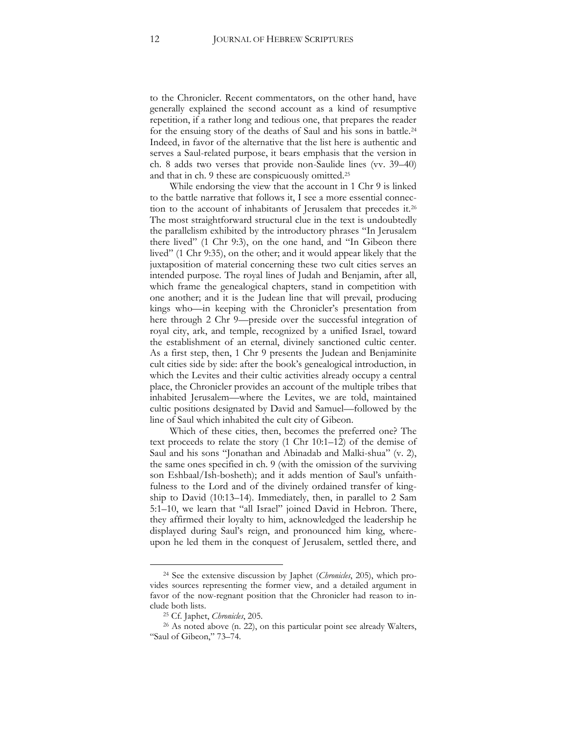to the Chronicler. Recent commentators, on the other hand, have generally explained the second account as a kind of resumptive repetition, if a rather long and tedious one, that prepares the reader for the ensuing story of the deaths of Saul and his sons in battle.<sup>24</sup> Indeed, in favor of the alternative that the list here is authentic and serves a Saul-related purpose, it bears emphasis that the version in ch. 8 adds two verses that provide non-Saulide lines (vv. 39–40) and that in ch. 9 these are conspicuously omitted.<sup>25</sup>

While endorsing the view that the account in 1 Chr 9 is linked to the battle narrative that follows it, I see a more essential connection to the account of inhabitants of Jerusalem that precedes it.<sup>26</sup> The most straightforward structural clue in the text is undoubtedly the parallelism exhibited by the introductory phrases "In Jerusalem there lived" (1 Chr 9:3), on the one hand, and "In Gibeon there lived" (1 Chr 9:35), on the other; and it would appear likely that the juxtaposition of material concerning these two cult cities serves an intended purpose. The royal lines of Judah and Benjamin, after all, which frame the genealogical chapters, stand in competition with one another; and it is the Judean line that will prevail, producing kings who—in keeping with the Chronicler's presentation from here through 2 Chr 9—preside over the successful integration of royal city, ark, and temple, recognized by a unified Israel, toward the establishment of an eternal, divinely sanctioned cultic center. As a first step, then, 1 Chr 9 presents the Judean and Benjaminite cult cities side by side: after the book's genealogical introduction, in which the Levites and their cultic activities already occupy a central place, the Chronicler provides an account of the multiple tribes that inhabited Jerusalem—where the Levites, we are told, maintained cultic positions designated by David and Samuel—followed by the line of Saul which inhabited the cult city of Gibeon.

Which of these cities, then, becomes the preferred one? The text proceeds to relate the story (1 Chr 10:1–12) of the demise of Saul and his sons "Jonathan and Abinadab and Malki-shua" (v. 2), the same ones specified in ch. 9 (with the omission of the surviving son Eshbaal/Ish-bosheth); and it adds mention of Saul's unfaithfulness to the Lord and of the divinely ordained transfer of kingship to David (10:13–14). Immediately, then, in parallel to 2 Sam 5:1–10, we learn that "all Israel" joined David in Hebron. There, they affirmed their loyalty to him, acknowledged the leadership he displayed during Saul's reign, and pronounced him king, whereupon he led them in the conquest of Jerusalem, settled there, and

<sup>24</sup> See the extensive discussion by Japhet (*Chronicles*, 205), which provides sources representing the former view, and a detailed argument in favor of the now-regnant position that the Chronicler had reason to include both lists.

<sup>25</sup> Cf. Japhet, *Chronicles*, 205.

<sup>26</sup> As noted above (n. 22), on this particular point see already Walters, "Saul of Gibeon," 73–74.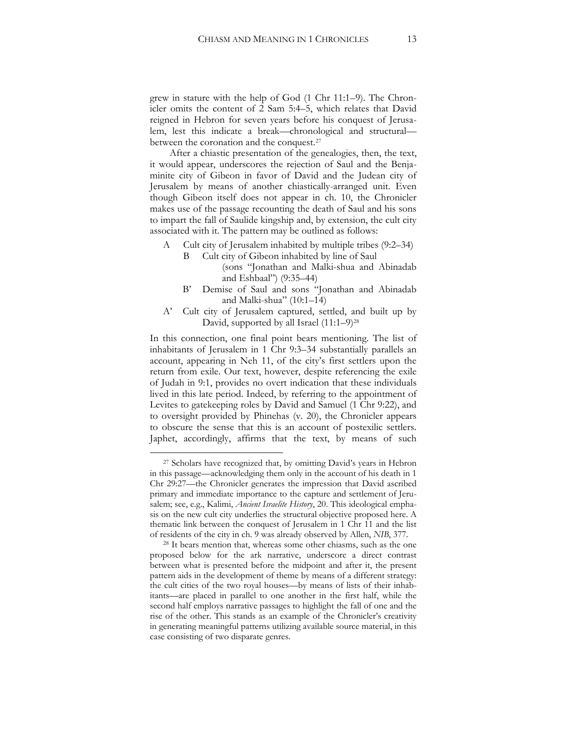grew in stature with the help of God (1 Chr 11:1–9). The Chronicler omits the content of 2 Sam 5:4–5, which relates that David reigned in Hebron for seven years before his conquest of Jerusalem, lest this indicate a break—chronological and structural between the coronation and the conquest.<sup>27</sup>

After a chiastic presentation of the genealogies, then, the text, it would appear, underscores the rejection of Saul and the Benjaminite city of Gibeon in favor of David and the Judean city of Jerusalem by means of another chiastically-arranged unit. Even though Gibeon itself does not appear in ch. 10, the Chronicler makes use of the passage recounting the death of Saul and his sons to impart the fall of Saulide kingship and, by extension, the cult city associated with it. The pattern may be outlined as follows:

- A Cult city of Jerusalem inhabited by multiple tribes (9:2–34)
	- B Cult city of Gibeon inhabited by line of Saul (sons "Jonathan and Malki-shua and Abinadab and Eshbaal") (9:35–44)
	- B' Demise of Saul and sons "Jonathan and Abinadab and Malki-shua" (10:1–14)
- A' Cult city of Jerusalem captured, settled, and built up by David, supported by all Israel  $(11:1-9)^{28}$

In this connection, one final point bears mentioning. The list of inhabitants of Jerusalem in 1 Chr 9:3–34 substantially parallels an account, appearing in Neh 11, of the city's first settlers upon the return from exile. Our text, however, despite referencing the exile of Judah in 9:1, provides no overt indication that these individuals lived in this late period. Indeed, by referring to the appointment of Levites to gatekeeping roles by David and Samuel (1 Chr 9:22), and to oversight provided by Phinehas (v. 20), the Chronicler appears to obscure the sense that this is an account of postexilic settlers. Japhet, accordingly, affirms that the text, by means of such

<sup>&</sup>lt;sup>27</sup> Scholars have recognized that, by omitting David's years in Hebron in this passage—acknowledging them only in the account of his death in 1 Chr 29:27—the Chronicler generates the impression that David ascribed primary and immediate importance to the capture and settlement of Jerusalem; see, e.g., Kalimi, *Ancient Israelite History*, 20. This ideological emphasis on the new cult city underlies the structural objective proposed here. A thematic link between the conquest of Jerusalem in 1 Chr 11 and the list of residents of the city in ch. 9 was already observed by Allen, *NIB*, 377.

<sup>&</sup>lt;sup>28</sup> It bears mention that, whereas some other chiasms, such as the one proposed below for the ark narrative, underscore a direct contrast between what is presented before the midpoint and after it, the present pattern aids in the development of theme by means of a different strategy: the cult cities of the two royal houses—by means of lists of their inhabitants—are placed in parallel to one another in the first half, while the second half employs narrative passages to highlight the fall of one and the rise of the other. This stands as an example of the Chronicler's creativity in generating meaningful patterns utilizing available source material, in this case consisting of two disparate genres.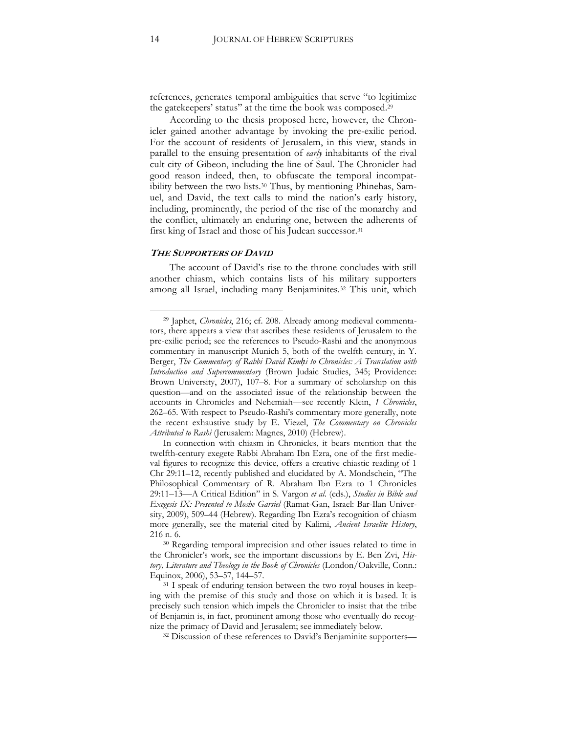references, generates temporal ambiguities that serve "to legitimize the gatekeepers' status" at the time the book was composed.<sup>29</sup>

According to the thesis proposed here, however, the Chronicler gained another advantage by invoking the pre-exilic period. For the account of residents of Jerusalem, in this view, stands in parallel to the ensuing presentation of *early* inhabitants of the rival cult city of Gibeon, including the line of Saul. The Chronicler had good reason indeed, then, to obfuscate the temporal incompatibility between the two lists.<sup>30</sup> Thus, by mentioning Phinehas, Samuel, and David, the text calls to mind the nation's early history, including, prominently, the period of the rise of the monarchy and the conflict, ultimately an enduring one, between the adherents of first king of Israel and those of his Judean successor.<sup>31</sup>

#### **THE SUPPORTERS OF DAVID**

The account of David's rise to the throne concludes with still another chiasm, which contains lists of his military supporters among all Israel, including many Benjaminites.<sup>32</sup> This unit, which

<sup>29</sup> Japhet, *Chronicles*, 216; cf. 208. Already among medieval commentators, there appears a view that ascribes these residents of Jerusalem to the pre-exilic period; see the references to Pseudo-Rashi and the anonymous commentary in manuscript Munich 5, both of the twelfth century, in Y. Berger, *The Commentary of Rabbi David Kimḥi to Chronicles: A Translation with Introduction and Supercommentary* (Brown Judaic Studies, 345; Providence: Brown University, 2007), 107–8. For a summary of scholarship on this question—and on the associated issue of the relationship between the accounts in Chronicles and Nehemiah—see recently Klein, *1 Chronicles*, 262–65. With respect to Pseudo-Rashi's commentary more generally, note the recent exhaustive study by E. Viezel, *The Commentary on Chronicles Attributed to Rashi* (Jerusalem: Magnes, 2010) (Hebrew).

In connection with chiasm in Chronicles, it bears mention that the twelfth-century exegete Rabbi Abraham Ibn Ezra, one of the first medieval figures to recognize this device, offers a creative chiastic reading of 1 Chr 29:11–12, recently published and elucidated by A. Mondschein, "The Philosophical Commentary of R. Abraham Ibn Ezra to 1 Chronicles 29:11–13—A Critical Edition" in S. Vargon *et al*. (eds.), *Studies in Bible and Exegesis IX: Presented to Moshe Garsiel* (Ramat-Gan, Israel: Bar-Ilan University, 2009), 509–44 (Hebrew). Regarding Ibn Ezra's recognition of chiasm more generally, see the material cited by Kalimi, *Ancient Israelite History*, 216 n. 6.

<sup>&</sup>lt;sup>30</sup> Regarding temporal imprecision and other issues related to time in the Chronicler's work, see the important discussions by E. Ben Zvi, *History, Literature and Theology in the Book of Chronicles* (London/Oakville, Conn.: Equinox, 2006), 53–57, 144–57.

<sup>&</sup>lt;sup>31</sup> I speak of enduring tension between the two royal houses in keeping with the premise of this study and those on which it is based. It is precisely such tension which impels the Chronicler to insist that the tribe of Benjamin is, in fact, prominent among those who eventually do recognize the primacy of David and Jerusalem; see immediately below.

<sup>&</sup>lt;sup>32</sup> Discussion of these references to David's Benjaminite supporters—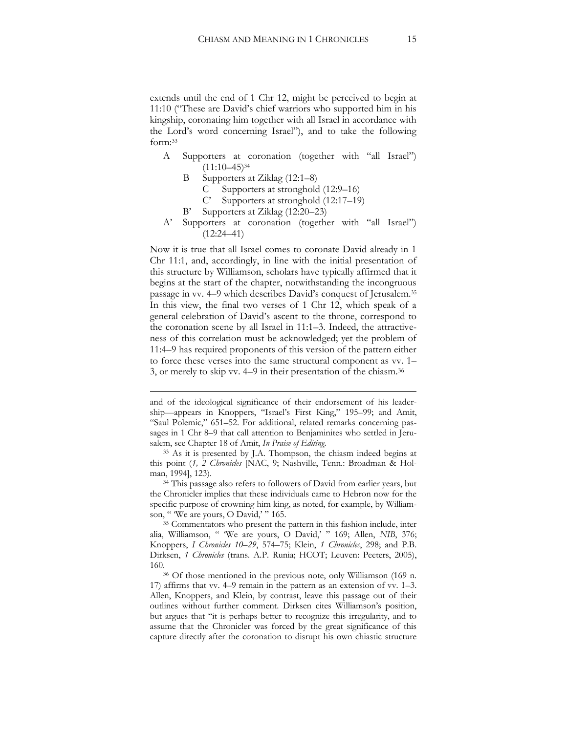extends until the end of 1 Chr 12, might be perceived to begin at 11:10 ("These are David's chief warriors who supported him in his kingship, coronating him together with all Israel in accordance with the Lord's word concerning Israel"), and to take the following form:<sup>33</sup>

- A Supporters at coronation (together with "all Israel")  $(11:10-45)^{34}$ 
	- B Supporters at Ziklag (12:1–8)
		- C Supporters at stronghold (12:9–16)
		- C' Supporters at stronghold (12:17–19)
	- B' Supporters at Ziklag (12:20–23)
- A' Supporters at coronation (together with "all Israel")  $(12:24-41)$

Now it is true that all Israel comes to coronate David already in 1 Chr 11:1, and, accordingly, in line with the initial presentation of this structure by Williamson, scholars have typically affirmed that it begins at the start of the chapter, notwithstanding the incongruous passage in vv. 4–9 which describes David's conquest of Jerusalem.<sup>35</sup> In this view, the final two verses of 1 Chr 12, which speak of a general celebration of David's ascent to the throne, correspond to the coronation scene by all Israel in 11:1–3. Indeed, the attractiveness of this correlation must be acknowledged; yet the problem of 11:4–9 has required proponents of this version of the pattern either to force these verses into the same structural component as vv. 1– 3, or merely to skip vv. 4–9 in their presentation of the chiasm.<sup>36</sup>

1

and of the ideological significance of their endorsement of his leadership—appears in Knoppers, "Israel's First King," 195–99; and Amit, "Saul Polemic," 651–52. For additional, related remarks concerning passages in 1 Chr 8–9 that call attention to Benjaminites who settled in Jerusalem, see Chapter 18 of Amit, *In Praise of Editing*.

<sup>33</sup> As it is presented by J.A. Thompson, the chiasm indeed begins at this point (*1, 2 Chronicles* [NAC, 9; Nashville, Tenn.: Broadman & Holman, 1994], 123).

<sup>&</sup>lt;sup>34</sup> This passage also refers to followers of David from earlier years, but the Chronicler implies that these individuals came to Hebron now for the specific purpose of crowning him king, as noted, for example, by Williamson, " 'We are yours, O David,' " 165.

<sup>&</sup>lt;sup>35</sup> Commentators who present the pattern in this fashion include, inter alia, Williamson, " 'We are yours, O David,' " 169; Allen, *NIB*, 376; Knoppers, *I Chronicles 10–29*, 574–75; Klein, *1 Chronicles*, 298; and P.B. Dirksen, *1 Chronicles* (trans. A.P. Runia; HCOT; Leuven: Peeters, 2005), 160.

<sup>36</sup> Of those mentioned in the previous note, only Williamson (169 n. 17) affirms that vv. 4–9 remain in the pattern as an extension of vv. 1–3. Allen, Knoppers, and Klein, by contrast, leave this passage out of their outlines without further comment. Dirksen cites Williamson's position, but argues that "it is perhaps better to recognize this irregularity, and to assume that the Chronicler was forced by the great significance of this capture directly after the coronation to disrupt his own chiastic structure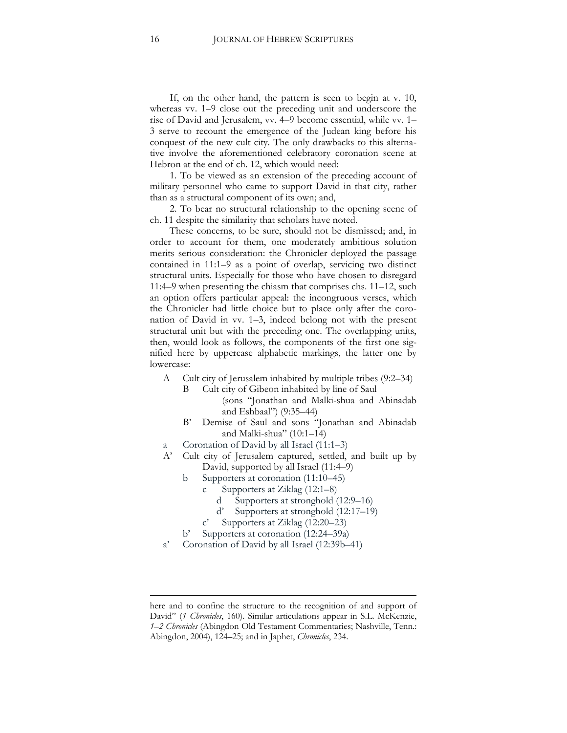If, on the other hand, the pattern is seen to begin at v. 10, whereas vv. 1–9 close out the preceding unit and underscore the rise of David and Jerusalem, vv. 4–9 become essential, while vv. 1– 3 serve to recount the emergence of the Judean king before his conquest of the new cult city. The only drawbacks to this alternative involve the aforementioned celebratory coronation scene at Hebron at the end of ch. 12, which would need:

1. To be viewed as an extension of the preceding account of military personnel who came to support David in that city, rather than as a structural component of its own; and,

2. To bear no structural relationship to the opening scene of ch. 11 despite the similarity that scholars have noted.

These concerns, to be sure, should not be dismissed; and, in order to account for them, one moderately ambitious solution merits serious consideration: the Chronicler deployed the passage contained in 11:1–9 as a point of overlap, servicing two distinct structural units. Especially for those who have chosen to disregard 11:4–9 when presenting the chiasm that comprises chs. 11–12, such an option offers particular appeal: the incongruous verses, which the Chronicler had little choice but to place only after the coronation of David in vv. 1–3, indeed belong not with the present structural unit but with the preceding one. The overlapping units, then, would look as follows, the components of the first one signified here by uppercase alphabetic markings, the latter one by lowercase:

- A Cult city of Jerusalem inhabited by multiple tribes (9:2–34)
	- B Cult city of Gibeon inhabited by line of Saul (sons "Jonathan and Malki-shua and Abinadab and Eshbaal") (9:35–44)
	- B' Demise of Saul and sons "Jonathan and Abinadab and Malki-shua" (10:1–14)
- a Coronation of David by all Israel (11:1–3)
- A' Cult city of Jerusalem captured, settled, and built up by David, supported by all Israel (11:4–9)
	- b Supporters at coronation (11:10–45)
		- c Supporters at Ziklag (12:1–8)
			- d Supporters at stronghold (12:9–16)
			- d' Supporters at stronghold (12:17–19)
		- c' Supporters at Ziklag (12:20–23)
	- b' Supporters at coronation (12:24–39a)
- a' Coronation of David by all Israel (12:39b–41)

<u>.</u>

here and to confine the structure to the recognition of and support of David" (1 Chronicles, 160). Similar articulations appear in S.L. McKenzie, *1–2 Chronicles* (Abingdon Old Testament Commentaries; Nashville, Tenn.: Abingdon, 2004), 124–25; and in Japhet, *Chronicles*, 234.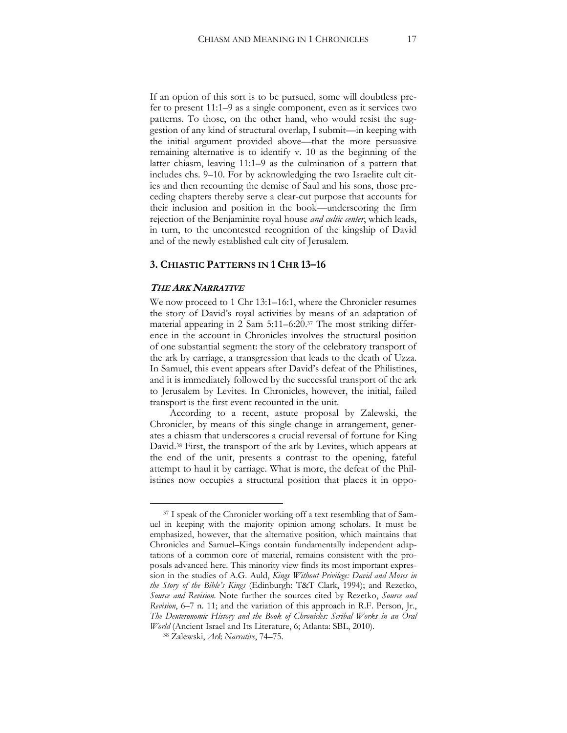If an option of this sort is to be pursued, some will doubtless prefer to present 11:1–9 as a single component, even as it services two patterns. To those, on the other hand, who would resist the suggestion of any kind of structural overlap, I submit—in keeping with the initial argument provided above—that the more persuasive remaining alternative is to identify v. 10 as the beginning of the latter chiasm, leaving 11:1–9 as the culmination of a pattern that includes chs. 9–10. For by acknowledging the two Israelite cult cities and then recounting the demise of Saul and his sons, those preceding chapters thereby serve a clear-cut purpose that accounts for their inclusion and position in the book—underscoring the firm rejection of the Benjaminite royal house *and cultic center*, which leads, in turn, to the uncontested recognition of the kingship of David and of the newly established cult city of Jerusalem.

#### **3. CHIASTIC PATTERNS IN 1 CHR 13–16**

#### **THE ARK NARRATIVE**

 $\overline{a}$ 

We now proceed to 1 Chr 13:1–16:1, where the Chronicler resumes the story of David's royal activities by means of an adaptation of material appearing in 2 Sam 5:11–6:20.<sup>37</sup> The most striking difference in the account in Chronicles involves the structural position of one substantial segment: the story of the celebratory transport of the ark by carriage, a transgression that leads to the death of Uzza. In Samuel, this event appears after David's defeat of the Philistines, and it is immediately followed by the successful transport of the ark to Jerusalem by Levites. In Chronicles, however, the initial, failed transport is the first event recounted in the unit.

According to a recent, astute proposal by Zalewski, the Chronicler, by means of this single change in arrangement, generates a chiasm that underscores a crucial reversal of fortune for King David. <sup>38</sup> First, the transport of the ark by Levites, which appears at the end of the unit, presents a contrast to the opening, fateful attempt to haul it by carriage. What is more, the defeat of the Philistines now occupies a structural position that places it in oppo-

<sup>&</sup>lt;sup>37</sup> I speak of the Chronicler working off a text resembling that of Samuel in keeping with the majority opinion among scholars. It must be emphasized, however, that the alternative position, which maintains that Chronicles and Samuel–Kings contain fundamentally independent adaptations of a common core of material, remains consistent with the proposals advanced here. This minority view finds its most important expression in the studies of A.G. Auld, *Kings Without Privilege: David and Moses in the Story of the Bible's Kings* (Edinburgh: T&T Clark, 1994); and Rezetko, *Source and Revision*. Note further the sources cited by Rezetko, *Source and Revision*, 6–7 n. 11; and the variation of this approach in R.F. Person, Jr., *The Deuteronomic History and the Book of Chronicles: Scribal Works in an Oral World* (Ancient Israel and Its Literature, 6; Atlanta: SBL, 2010).

<sup>38</sup> Zalewski, *Ark Narrative*, 74–75.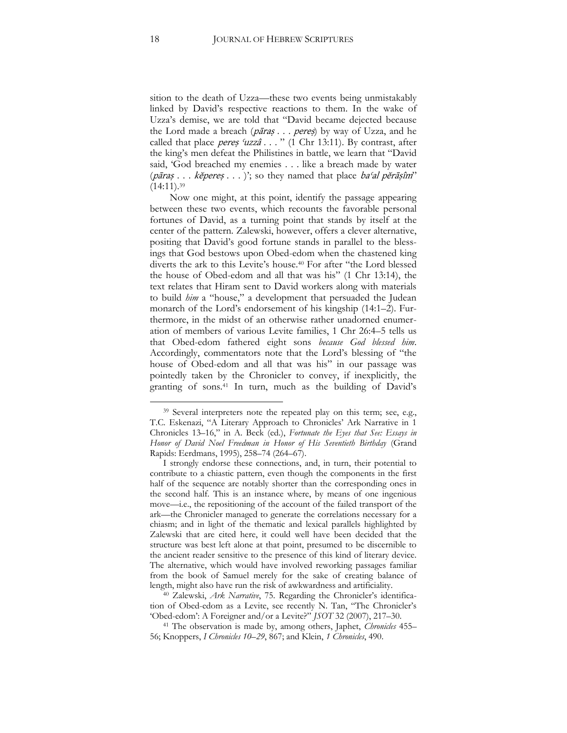sition to the death of Uzza—these two events being unmistakably linked by David's respective reactions to them. In the wake of Uzza's demise, we are told that "David became dejected because the Lord made a breach (pāraș . . . pereș) by way of Uzza, and he called that place pereș 'uzzâ . . . " (1 Chr 13:11). By contrast, after the king's men defeat the Philistines in battle, we learn that "David said, 'God breached my enemies . . . like a breach made by water (*pāraṣ* . . . *kĕpereṣ* . . . )'; so they named that place *ba'al pĕrāṣîm*'  $(14:11).39$ 

Now one might, at this point, identify the passage appearing between these two events, which recounts the favorable personal fortunes of David, as a turning point that stands by itself at the center of the pattern. Zalewski, however, offers a clever alternative, positing that David's good fortune stands in parallel to the blessings that God bestows upon Obed-edom when the chastened king diverts the ark to this Levite's house.<sup>40</sup> For after "the Lord blessed the house of Obed-edom and all that was his" (1 Chr 13:14), the text relates that Hiram sent to David workers along with materials to build *him* a "house," a development that persuaded the Judean monarch of the Lord's endorsement of his kingship (14:1–2). Furthermore, in the midst of an otherwise rather unadorned enumeration of members of various Levite families, 1 Chr 26:4–5 tells us that Obed-edom fathered eight sons *because God blessed him*. Accordingly, commentators note that the Lord's blessing of "the house of Obed-edom and all that was his" in our passage was pointedly taken by the Chronicler to convey, if inexplicitly, the granting of sons.<sup>41</sup> In turn, much as the building of David's

<sup>40</sup> Zalewski, *Ark Narrative*, 75. Regarding the Chronicler's identification of Obed-edom as a Levite, see recently N. Tan, "The Chronicler's 'Obed-edom': A Foreigner and/or a Levite?" *JSOT* 32 (2007), 217–30.

<sup>41</sup> The observation is made by, among others, Japhet, *Chronicles* 455– 56; Knoppers, *I Chronicles 10–29*, 867; and Klein, *1 Chronicles*, 490.

<sup>39</sup> Several interpreters note the repeated play on this term; see, e.g., T.C. Eskenazi, "A Literary Approach to Chronicles' Ark Narrative in 1 Chronicles 13–16," in A. Beck (ed.), *Fortunate the Eyes that See: Essays in Honor of David Noel Freedman in Honor of His Seventieth Birthday* (Grand Rapids: Eerdmans, 1995), 258–74 (264–67).

I strongly endorse these connections, and, in turn, their potential to contribute to a chiastic pattern, even though the components in the first half of the sequence are notably shorter than the corresponding ones in the second half. This is an instance where, by means of one ingenious move—i.e., the repositioning of the account of the failed transport of the ark—the Chronicler managed to generate the correlations necessary for a chiasm; and in light of the thematic and lexical parallels highlighted by Zalewski that are cited here, it could well have been decided that the structure was best left alone at that point, presumed to be discernible to the ancient reader sensitive to the presence of this kind of literary device. The alternative, which would have involved reworking passages familiar from the book of Samuel merely for the sake of creating balance of length, might also have run the risk of awkwardness and artificiality.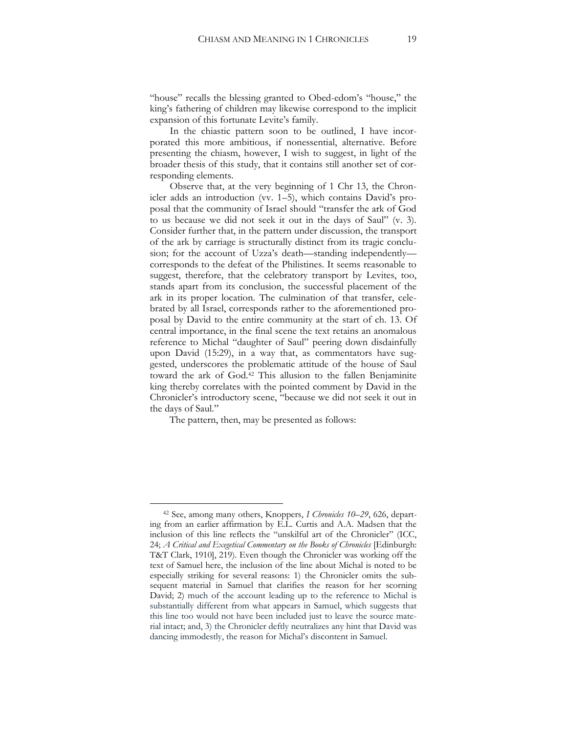"house" recalls the blessing granted to Obed-edom's "house," the king's fathering of children may likewise correspond to the implicit expansion of this fortunate Levite's family.

In the chiastic pattern soon to be outlined, I have incorporated this more ambitious, if nonessential, alternative. Before presenting the chiasm, however, I wish to suggest, in light of the broader thesis of this study, that it contains still another set of corresponding elements.

Observe that, at the very beginning of 1 Chr 13, the Chronicler adds an introduction (vv. 1–5), which contains David's proposal that the community of Israel should "transfer the ark of God to us because we did not seek it out in the days of Saul" (v. 3). Consider further that, in the pattern under discussion, the transport of the ark by carriage is structurally distinct from its tragic conclusion; for the account of Uzza's death—standing independently corresponds to the defeat of the Philistines. It seems reasonable to suggest, therefore, that the celebratory transport by Levites, too, stands apart from its conclusion, the successful placement of the ark in its proper location. The culmination of that transfer, celebrated by all Israel, corresponds rather to the aforementioned proposal by David to the entire community at the start of ch. 13. Of central importance, in the final scene the text retains an anomalous reference to Michal "daughter of Saul" peering down disdainfully upon David (15:29), in a way that, as commentators have suggested, underscores the problematic attitude of the house of Saul toward the ark of God.<sup>42</sup> This allusion to the fallen Benjaminite king thereby correlates with the pointed comment by David in the Chronicler's introductory scene, "because we did not seek it out in the days of Saul."

The pattern, then, may be presented as follows:

<sup>42</sup> See, among many others, Knoppers, *I Chronicles 10–29*, 626, departing from an earlier affirmation by E.L. Curtis and A.A. Madsen that the inclusion of this line reflects the "unskilful art of the Chronicler" (ICC, 24; *A Critical and Exegetical Commentary on the Books of Chronicles* [Edinburgh: T&T Clark, 1910], 219). Even though the Chronicler was working off the text of Samuel here, the inclusion of the line about Michal is noted to be especially striking for several reasons: 1) the Chronicler omits the subsequent material in Samuel that clarifies the reason for her scorning David; 2) much of the account leading up to the reference to Michal is substantially different from what appears in Samuel, which suggests that this line too would not have been included just to leave the source material intact; and, 3) the Chronicler deftly neutralizes any hint that David was dancing immodestly, the reason for Michal's discontent in Samuel.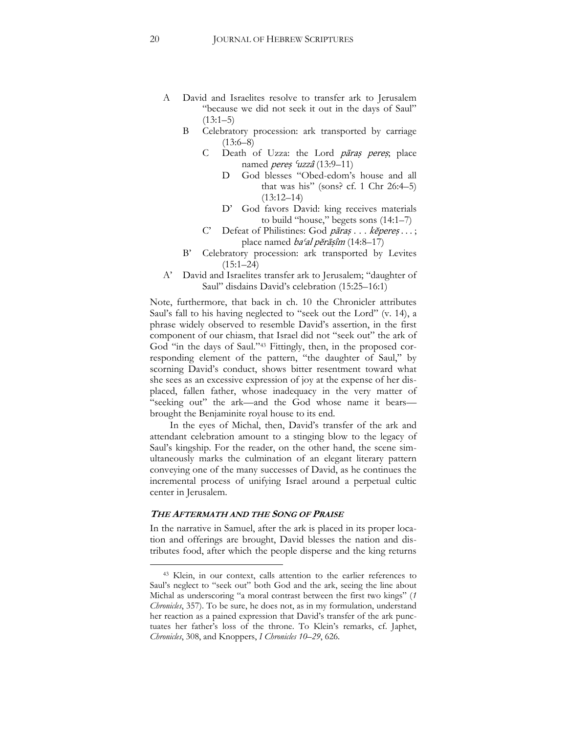- A David and Israelites resolve to transfer ark to Jerusalem "because we did not seek it out in the days of Saul"  $(13:1-5)$ 
	- B Celebratory procession: ark transported by carriage  $(13:6–8)$ 
		- C Death of Uzza: the Lord pāraṣ pere<sup>ṣ</sup>; place named *pereș 'uzzâ* (13:9–11)
			- D God blesses "Obed-edom's house and all that was his" (sons? cf. 1 Chr  $26:4-5$ )  $(13:12-14)$
			- D' God favors David: king receives materials to build "house," begets sons (14:1–7)
		- C' Defeat of Philistines: God *pāraș* . . . *kĕpereș* . . . ; place named baʿal pĕrāṣîm (14:8–17)
	- B' Celebratory procession: ark transported by Levites  $(15:1–24)$
- A' David and Israelites transfer ark to Jerusalem; "daughter of Saul" disdains David's celebration (15:25–16:1)

Note, furthermore, that back in ch. 10 the Chronicler attributes Saul's fall to his having neglected to "seek out the Lord" (v. 14), a phrase widely observed to resemble David's assertion, in the first component of our chiasm, that Israel did not "seek out" the ark of God "in the days of Saul."<sup>43</sup> Fittingly, then, in the proposed corresponding element of the pattern, "the daughter of Saul," by scorning David's conduct, shows bitter resentment toward what she sees as an excessive expression of joy at the expense of her displaced, fallen father, whose inadequacy in the very matter of "seeking out" the ark—and the God whose name it bears brought the Benjaminite royal house to its end.

In the eyes of Michal, then, David's transfer of the ark and attendant celebration amount to a stinging blow to the legacy of Saul's kingship. For the reader, on the other hand, the scene simultaneously marks the culmination of an elegant literary pattern conveying one of the many successes of David, as he continues the incremental process of unifying Israel around a perpetual cultic center in Jerusalem.

#### **THE AFTERMATH AND THE SONG OF PRAISE**

 $\overline{a}$ 

In the narrative in Samuel, after the ark is placed in its proper location and offerings are brought, David blesses the nation and distributes food, after which the people disperse and the king returns

<sup>43</sup> Klein, in our context, calls attention to the earlier references to Saul's neglect to "seek out" both God and the ark, seeing the line about Michal as underscoring "a moral contrast between the first two kings" (*1 Chronicles*, 357). To be sure, he does not, as in my formulation, understand her reaction as a pained expression that David's transfer of the ark punctuates her father's loss of the throne. To Klein's remarks, cf. Japhet, *Chronicles*, 308, and Knoppers, *I Chronicles 10–29*, 626.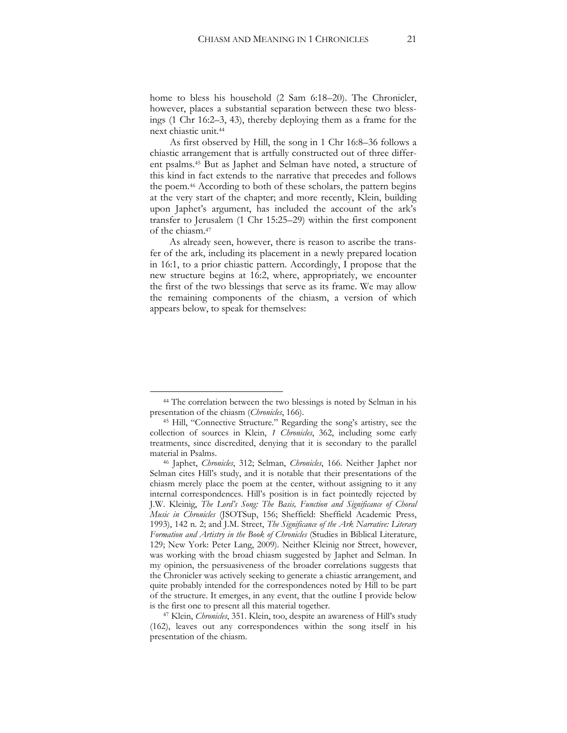home to bless his household (2 Sam 6:18–20). The Chronicler, however, places a substantial separation between these two blessings (1 Chr 16:2–3, 43), thereby deploying them as a frame for the next chiastic unit.<sup>44</sup>

As first observed by Hill, the song in 1 Chr 16:8–36 follows a chiastic arrangement that is artfully constructed out of three different psalms.<sup>45</sup> But as Japhet and Selman have noted, a structure of this kind in fact extends to the narrative that precedes and follows the poem.<sup>46</sup> According to both of these scholars, the pattern begins at the very start of the chapter; and more recently, Klein, building upon Japhet's argument, has included the account of the ark's transfer to Jerusalem (1 Chr 15:25–29) within the first component of the chiasm.<sup>47</sup>

As already seen, however, there is reason to ascribe the transfer of the ark, including its placement in a newly prepared location in 16:1, to a prior chiastic pattern. Accordingly, I propose that the new structure begins at 16:2, where, appropriately, we encounter the first of the two blessings that serve as its frame. We may allow the remaining components of the chiasm, a version of which appears below, to speak for themselves:

<sup>44</sup> The correlation between the two blessings is noted by Selman in his presentation of the chiasm (*Chronicles*, 166).

<sup>45</sup> Hill, "Connective Structure." Regarding the song's artistry, see the collection of sources in Klein, *1 Chronicles*, 362, including some early treatments, since discredited, denying that it is secondary to the parallel material in Psalms.

<sup>46</sup> Japhet, *Chronicles*, 312; Selman, *Chronicles*, 166. Neither Japhet nor Selman cites Hill's study, and it is notable that their presentations of the chiasm merely place the poem at the center, without assigning to it any internal correspondences. Hill's position is in fact pointedly rejected by J.W. Kleinig, *The Lord's Song: The Basis, Function and Significance of Choral Music in Chronicles* (JSOTSup, 156; Sheffield: Sheffield Academic Press, 1993), 142 n. 2; and J.M. Street, *The Significance of the Ark Narrative: Literary Formation and Artistry in the Book of Chronicles* (Studies in Biblical Literature, 129; New York: Peter Lang, 2009). Neither Kleinig nor Street, however, was working with the broad chiasm suggested by Japhet and Selman. In my opinion, the persuasiveness of the broader correlations suggests that the Chronicler was actively seeking to generate a chiastic arrangement, and quite probably intended for the correspondences noted by Hill to be part of the structure. It emerges, in any event, that the outline I provide below is the first one to present all this material together.

<sup>47</sup> Klein, *Chronicles*, 351. Klein, too, despite an awareness of Hill's study (162), leaves out any correspondences within the song itself in his presentation of the chiasm.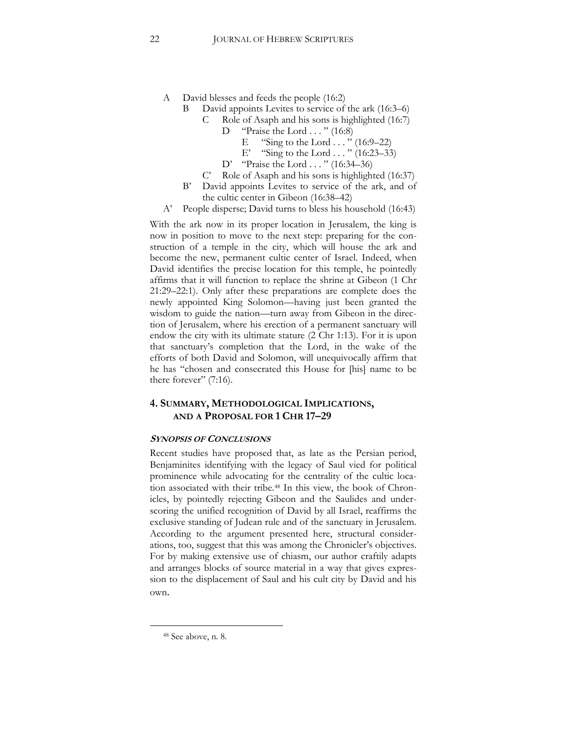- A David blesses and feeds the people (16:2)
	- B David appoints Levites to service of the ark (16:3–6)
		- C Role of Asaph and his sons is highlighted (16:7)
			- D "Praise the Lord . . . " (16:8)
				- E "Sing to the Lord  $\ldots$  " (16:9–22)
				- E' "Sing to the Lord  $\ldots$  " (16:23–33)
			- D' "Praise the Lord . . . " (16:34–36)
		- C' Role of Asaph and his sons is highlighted (16:37)
	- B' David appoints Levites to service of the ark, and of the cultic center in Gibeon (16:38–42)
- A' People disperse; David turns to bless his household (16:43)

With the ark now in its proper location in Jerusalem, the king is now in position to move to the next step: preparing for the construction of a temple in the city, which will house the ark and become the new, permanent cultic center of Israel. Indeed, when David identifies the precise location for this temple, he pointedly affirms that it will function to replace the shrine at Gibeon (1 Chr 21:29–22:1). Only after these preparations are complete does the newly appointed King Solomon—having just been granted the wisdom to guide the nation—turn away from Gibeon in the direction of Jerusalem, where his erection of a permanent sanctuary will endow the city with its ultimate stature (2 Chr 1:13). For it is upon that sanctuary's completion that the Lord, in the wake of the efforts of both David and Solomon, will unequivocally affirm that he has "chosen and consecrated this House for [his] name to be there forever" (7:16).

## **4. SUMMARY, METHODOLOGICAL IMPLICATIONS, AND A PROPOSAL FOR 1 CHR 17–29**

#### **SYNOPSIS OF CONCLUSIONS**

Recent studies have proposed that, as late as the Persian period, Benjaminites identifying with the legacy of Saul vied for political prominence while advocating for the centrality of the cultic location associated with their tribe.<sup>48</sup> In this view, the book of Chronicles, by pointedly rejecting Gibeon and the Saulides and underscoring the unified recognition of David by all Israel, reaffirms the exclusive standing of Judean rule and of the sanctuary in Jerusalem. According to the argument presented here, structural considerations, too, suggest that this was among the Chronicler's objectives. For by making extensive use of chiasm, our author craftily adapts and arranges blocks of source material in a way that gives expression to the displacement of Saul and his cult city by David and his own.

<sup>48</sup> See above, n. 8.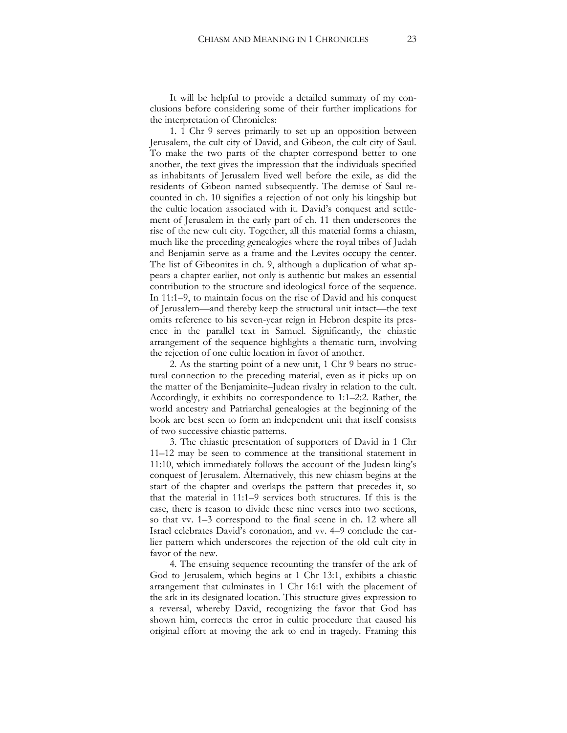It will be helpful to provide a detailed summary of my conclusions before considering some of their further implications for the interpretation of Chronicles:

1. 1 Chr 9 serves primarily to set up an opposition between Jerusalem, the cult city of David, and Gibeon, the cult city of Saul. To make the two parts of the chapter correspond better to one another, the text gives the impression that the individuals specified as inhabitants of Jerusalem lived well before the exile, as did the residents of Gibeon named subsequently. The demise of Saul recounted in ch. 10 signifies a rejection of not only his kingship but the cultic location associated with it. David's conquest and settlement of Jerusalem in the early part of ch. 11 then underscores the rise of the new cult city. Together, all this material forms a chiasm, much like the preceding genealogies where the royal tribes of Judah and Benjamin serve as a frame and the Levites occupy the center. The list of Gibeonites in ch. 9, although a duplication of what appears a chapter earlier, not only is authentic but makes an essential contribution to the structure and ideological force of the sequence. In 11:1–9, to maintain focus on the rise of David and his conquest of Jerusalem—and thereby keep the structural unit intact—the text omits reference to his seven-year reign in Hebron despite its presence in the parallel text in Samuel. Significantly, the chiastic arrangement of the sequence highlights a thematic turn, involving the rejection of one cultic location in favor of another.

2. As the starting point of a new unit, 1 Chr 9 bears no structural connection to the preceding material, even as it picks up on the matter of the Benjaminite–Judean rivalry in relation to the cult. Accordingly, it exhibits no correspondence to 1:1–2:2. Rather, the world ancestry and Patriarchal genealogies at the beginning of the book are best seen to form an independent unit that itself consists of two successive chiastic patterns.

3. The chiastic presentation of supporters of David in 1 Chr 11–12 may be seen to commence at the transitional statement in 11:10, which immediately follows the account of the Judean king's conquest of Jerusalem. Alternatively, this new chiasm begins at the start of the chapter and overlaps the pattern that precedes it, so that the material in 11:1–9 services both structures. If this is the case, there is reason to divide these nine verses into two sections, so that vv. 1–3 correspond to the final scene in ch. 12 where all Israel celebrates David's coronation, and vv. 4–9 conclude the earlier pattern which underscores the rejection of the old cult city in favor of the new.

4. The ensuing sequence recounting the transfer of the ark of God to Jerusalem, which begins at 1 Chr 13:1, exhibits a chiastic arrangement that culminates in 1 Chr 16:1 with the placement of the ark in its designated location. This structure gives expression to a reversal, whereby David, recognizing the favor that God has shown him, corrects the error in cultic procedure that caused his original effort at moving the ark to end in tragedy. Framing this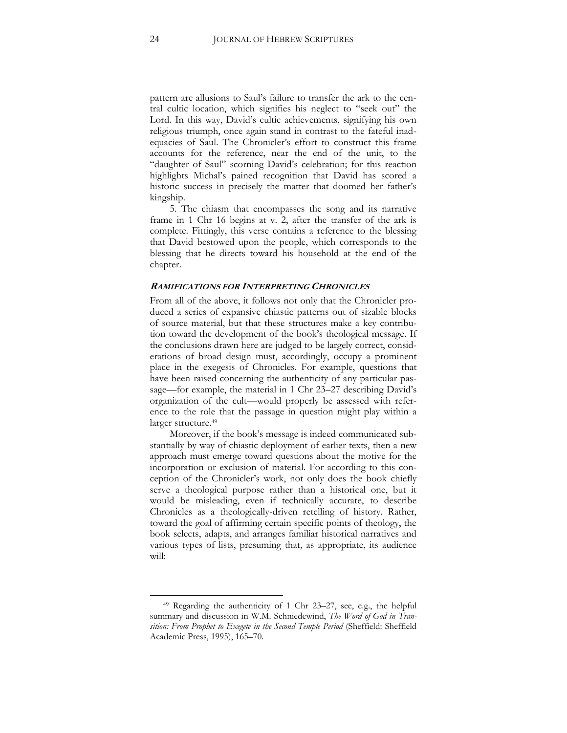pattern are allusions to Saul's failure to transfer the ark to the central cultic location, which signifies his neglect to "seek out" the Lord. In this way, David's cultic achievements, signifying his own religious triumph, once again stand in contrast to the fateful inadequacies of Saul. The Chronicler's effort to construct this frame accounts for the reference, near the end of the unit, to the "daughter of Saul" scorning David's celebration; for this reaction highlights Michal's pained recognition that David has scored a historic success in precisely the matter that doomed her father's kingship.

5. The chiasm that encompasses the song and its narrative frame in 1 Chr 16 begins at v. 2, after the transfer of the ark is complete. Fittingly, this verse contains a reference to the blessing that David bestowed upon the people, which corresponds to the blessing that he directs toward his household at the end of the chapter.

#### **RAMIFICATIONS FOR INTERPRETING CHRONICLES**

From all of the above, it follows not only that the Chronicler produced a series of expansive chiastic patterns out of sizable blocks of source material, but that these structures make a key contribution toward the development of the book's theological message. If the conclusions drawn here are judged to be largely correct, considerations of broad design must, accordingly, occupy a prominent place in the exegesis of Chronicles. For example, questions that have been raised concerning the authenticity of any particular passage—for example, the material in 1 Chr 23–27 describing David's organization of the cult—would properly be assessed with reference to the role that the passage in question might play within a larger structure.<sup>49</sup>

Moreover, if the book's message is indeed communicated substantially by way of chiastic deployment of earlier texts, then a new approach must emerge toward questions about the motive for the incorporation or exclusion of material. For according to this conception of the Chronicler's work, not only does the book chiefly serve a theological purpose rather than a historical one, but it would be misleading, even if technically accurate, to describe Chronicles as a theologically-driven retelling of history. Rather, toward the goal of affirming certain specific points of theology, the book selects, adapts, and arranges familiar historical narratives and various types of lists, presuming that, as appropriate, its audience will:

<sup>49</sup> Regarding the authenticity of 1 Chr 23–27, see, e.g., the helpful summary and discussion in W.M. Schniedewind, *The Word of God in Transition: From Prophet to Exegete in the Second Temple Period* (Sheffield: Sheffield Academic Press, 1995), 165–70.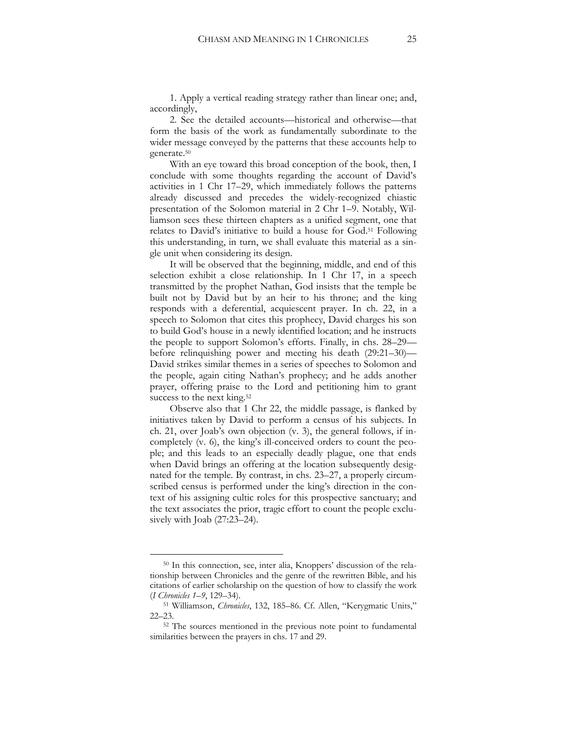1. Apply a vertical reading strategy rather than linear one; and, accordingly,

2. See the detailed accounts—historical and otherwise—that form the basis of the work as fundamentally subordinate to the wider message conveyed by the patterns that these accounts help to generate.<sup>50</sup>

With an eye toward this broad conception of the book, then, I conclude with some thoughts regarding the account of David's activities in 1 Chr 17–29, which immediately follows the patterns already discussed and precedes the widely-recognized chiastic presentation of the Solomon material in 2 Chr 1–9. Notably, Williamson sees these thirteen chapters as a unified segment, one that relates to David's initiative to build a house for God. <sup>51</sup> Following this understanding, in turn, we shall evaluate this material as a single unit when considering its design.

It will be observed that the beginning, middle, and end of this selection exhibit a close relationship. In 1 Chr 17, in a speech transmitted by the prophet Nathan, God insists that the temple be built not by David but by an heir to his throne; and the king responds with a deferential, acquiescent prayer. In ch. 22, in a speech to Solomon that cites this prophecy, David charges his son to build God's house in a newly identified location; and he instructs the people to support Solomon's efforts. Finally, in chs. 28–29 before relinquishing power and meeting his death (29:21–30)— David strikes similar themes in a series of speeches to Solomon and the people, again citing Nathan's prophecy; and he adds another prayer, offering praise to the Lord and petitioning him to grant success to the next king.<sup>52</sup>

Observe also that 1 Chr 22, the middle passage, is flanked by initiatives taken by David to perform a census of his subjects. In ch. 21, over Joab's own objection (v. 3), the general follows, if incompletely (v. 6), the king's ill-conceived orders to count the people; and this leads to an especially deadly plague, one that ends when David brings an offering at the location subsequently designated for the temple. By contrast, in chs. 23–27, a properly circumscribed census is performed under the king's direction in the context of his assigning cultic roles for this prospective sanctuary; and the text associates the prior, tragic effort to count the people exclusively with Joab (27:23–24).

<sup>50</sup> In this connection, see, inter alia, Knoppers' discussion of the relationship between Chronicles and the genre of the rewritten Bible, and his citations of earlier scholarship on the question of how to classify the work (*I Chronicles 1–9*, 129–34).

<sup>51</sup> Williamson, *Chronicles*, 132, 185–86. Cf. Allen, "Kerygmatic Units," 22–23.

<sup>52</sup> The sources mentioned in the previous note point to fundamental similarities between the prayers in chs. 17 and 29.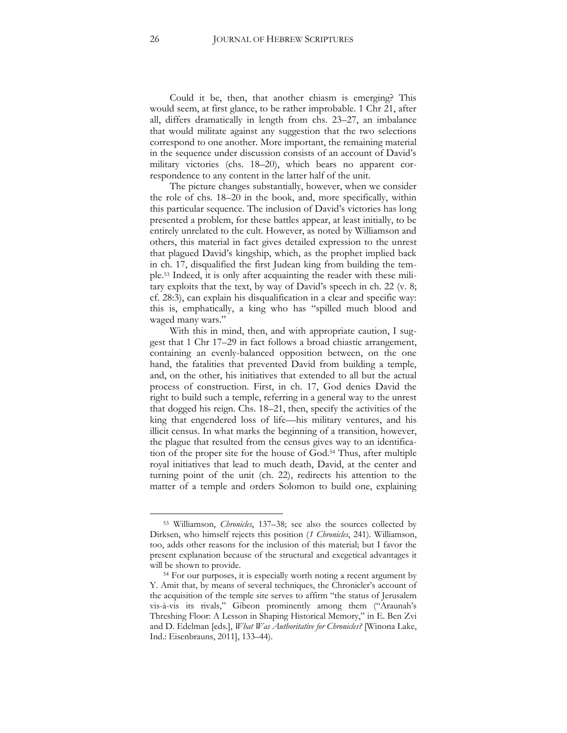Could it be, then, that another chiasm is emerging? This would seem, at first glance, to be rather improbable. 1 Chr 21, after all, differs dramatically in length from chs. 23–27, an imbalance that would militate against any suggestion that the two selections correspond to one another. More important, the remaining material in the sequence under discussion consists of an account of David's military victories (chs. 18–20), which bears no apparent correspondence to any content in the latter half of the unit.

The picture changes substantially, however, when we consider the role of chs. 18–20 in the book, and, more specifically, within this particular sequence. The inclusion of David's victories has long presented a problem, for these battles appear, at least initially, to be entirely unrelated to the cult. However, as noted by Williamson and others, this material in fact gives detailed expression to the unrest that plagued David's kingship, which, as the prophet implied back in ch. 17, disqualified the first Judean king from building the temple.<sup>53</sup> Indeed, it is only after acquainting the reader with these military exploits that the text, by way of David's speech in ch. 22 (v. 8; cf. 28:3), can explain his disqualification in a clear and specific way: this is, emphatically, a king who has "spilled much blood and waged many wars."

With this in mind, then, and with appropriate caution, I suggest that 1 Chr 17–29 in fact follows a broad chiastic arrangement, containing an evenly-balanced opposition between, on the one hand, the fatalities that prevented David from building a temple, and, on the other, his initiatives that extended to all but the actual process of construction. First, in ch. 17, God denies David the right to build such a temple, referring in a general way to the unrest that dogged his reign. Chs. 18–21, then, specify the activities of the king that engendered loss of life—his military ventures, and his illicit census. In what marks the beginning of a transition, however, the plague that resulted from the census gives way to an identification of the proper site for the house of God.<sup>54</sup> Thus, after multiple royal initiatives that lead to much death, David, at the center and turning point of the unit (ch. 22), redirects his attention to the matter of a temple and orders Solomon to build one, explaining

<sup>53</sup> Williamson, *Chronicles*, 137–38; see also the sources collected by Dirksen, who himself rejects this position (*1 Chronicles*, 241). Williamson, too, adds other reasons for the inclusion of this material; but I favor the present explanation because of the structural and exegetical advantages it will be shown to provide.

<sup>54</sup> For our purposes, it is especially worth noting a recent argument by Y. Amit that, by means of several techniques, the Chronicler's account of the acquisition of the temple site serves to affirm "the status of Jerusalem vis-à-vis its rivals," Gibeon prominently among them ("Araunah's Threshing Floor: A Lesson in Shaping Historical Memory," in E. Ben Zvi and D. Edelman [eds.], *What Was Authoritative for Chronicles?* [Winona Lake, Ind.: Eisenbrauns, 2011], 133–44).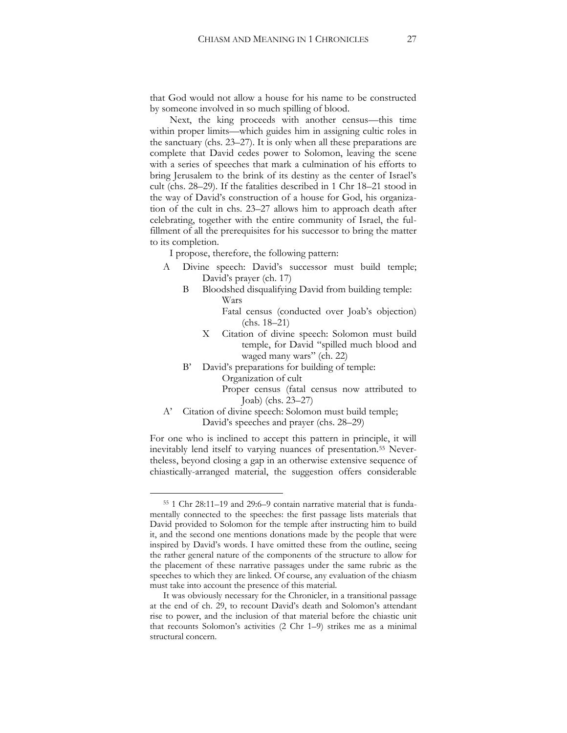that God would not allow a house for his name to be constructed by someone involved in so much spilling of blood.

Next, the king proceeds with another census—this time within proper limits—which guides him in assigning cultic roles in the sanctuary (chs. 23–27). It is only when all these preparations are complete that David cedes power to Solomon, leaving the scene with a series of speeches that mark a culmination of his efforts to bring Jerusalem to the brink of its destiny as the center of Israel's cult (chs. 28–29). If the fatalities described in 1 Chr 18–21 stood in the way of David's construction of a house for God, his organization of the cult in chs. 23–27 allows him to approach death after celebrating, together with the entire community of Israel, the fulfillment of all the prerequisites for his successor to bring the matter to its completion.

I propose, therefore, the following pattern:

- A Divine speech: David's successor must build temple; David's prayer (ch. 17)
	- B Bloodshed disqualifying David from building temple: Wars

Fatal census (conducted over Joab's objection) (chs. 18–21)

- X Citation of divine speech: Solomon must build temple, for David "spilled much blood and waged many wars" (ch. 22)
- B' David's preparations for building of temple: Organization of cult

Proper census (fatal census now attributed to Joab) (chs. 23–27)

A' Citation of divine speech: Solomon must build temple; David's speeches and prayer (chs. 28–29)

For one who is inclined to accept this pattern in principle, it will inevitably lend itself to varying nuances of presentation.<sup>55</sup> Nevertheless, beyond closing a gap in an otherwise extensive sequence of chiastically-arranged material, the suggestion offers considerable

<sup>55</sup> 1 Chr 28:11–19 and 29:6–9 contain narrative material that is fundamentally connected to the speeches: the first passage lists materials that David provided to Solomon for the temple after instructing him to build it, and the second one mentions donations made by the people that were inspired by David's words. I have omitted these from the outline, seeing the rather general nature of the components of the structure to allow for the placement of these narrative passages under the same rubric as the speeches to which they are linked. Of course, any evaluation of the chiasm must take into account the presence of this material.

It was obviously necessary for the Chronicler, in a transitional passage at the end of ch. 29, to recount David's death and Solomon's attendant rise to power, and the inclusion of that material before the chiastic unit that recounts Solomon's activities (2 Chr 1–9) strikes me as a minimal structural concern.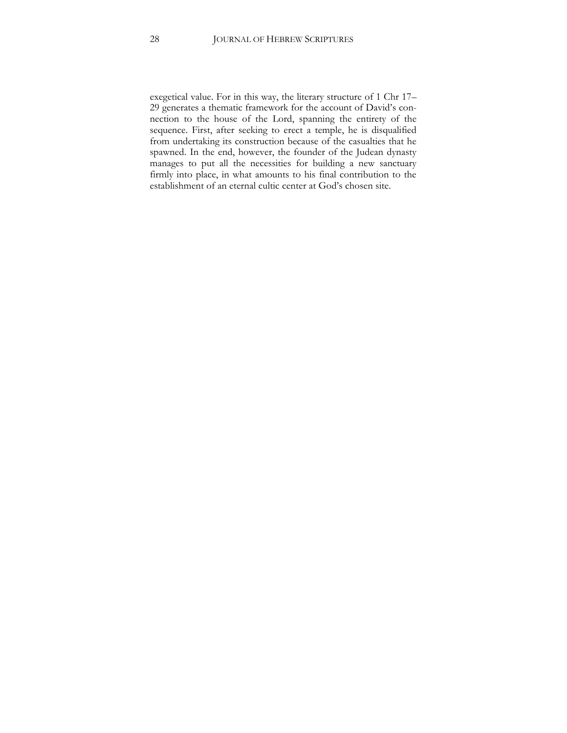exegetical value. For in this way, the literary structure of 1 Chr 17– 29 generates a thematic framework for the account of David's connection to the house of the Lord, spanning the entirety of the sequence. First, after seeking to erect a temple, he is disqualified from undertaking its construction because of the casualties that he spawned. In the end, however, the founder of the Judean dynasty manages to put all the necessities for building a new sanctuary firmly into place, in what amounts to his final contribution to the establishment of an eternal cultic center at God's chosen site.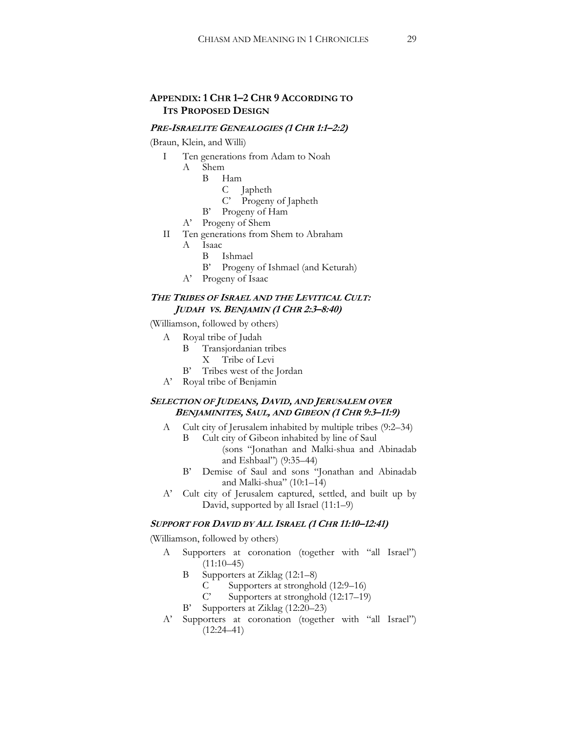# **APPENDIX: 1 CHR 1–2 CHR 9 ACCORDING TO ITS PROPOSED DESIGN**

#### **PRE-ISRAELITE GENEALOGIES (1 CHR 1:1–2:2)**

(Braun, Klein, and Willi)

- I Ten generations from Adam to Noah
	- A Shem
		- B Ham
			- C Japheth
			- C' Progeny of Japheth
		- B' Progeny of Ham
	- A' Progeny of Shem
- II Ten generations from Shem to Abraham
	- A Isaac
		- B Ishmael
		- B' Progeny of Ishmael (and Keturah)
	- A' Progeny of Isaac

#### **THE TRIBES OF ISRAEL AND THE LEVITICAL CULT: JUDAH VS. BENJAMIN (1 CHR 2:3–8:40)**

(Williamson, followed by others)

- A Royal tribe of Judah
	- B Transjordanian tribes
		- X Tribe of Levi
	- B' Tribes west of the Jordan
- A' Royal tribe of Benjamin

#### **SELECTION OF JUDEANS, DAVID, AND JERUSALEM OVER BENJAMINITES, SAUL, AND GIBEON (1 CHR 9:3–11:9)**

- A Cult city of Jerusalem inhabited by multiple tribes (9:2–34) B Cult city of Gibeon inhabited by line of Saul
	- (sons "Jonathan and Malki-shua and Abinadab and Eshbaal") (9:35–44)
	- B' Demise of Saul and sons "Jonathan and Abinadab and Malki-shua" (10:1–14)
- A' Cult city of Jerusalem captured, settled, and built up by David, supported by all Israel (11:1–9)

#### **SUPPORT FOR DAVID BY ALL ISRAEL (1 CHR 11:10–12:41)**

(Williamson, followed by others)

- A Supporters at coronation (together with "all Israel")  $(11:10-45)$ 
	- B Supporters at Ziklag (12:1–8)
		- C Supporters at stronghold (12:9–16)
		- C' Supporters at stronghold (12:17–19)
	- B' Supporters at Ziklag (12:20–23)
- A' Supporters at coronation (together with "all Israel")  $(12:24-41)$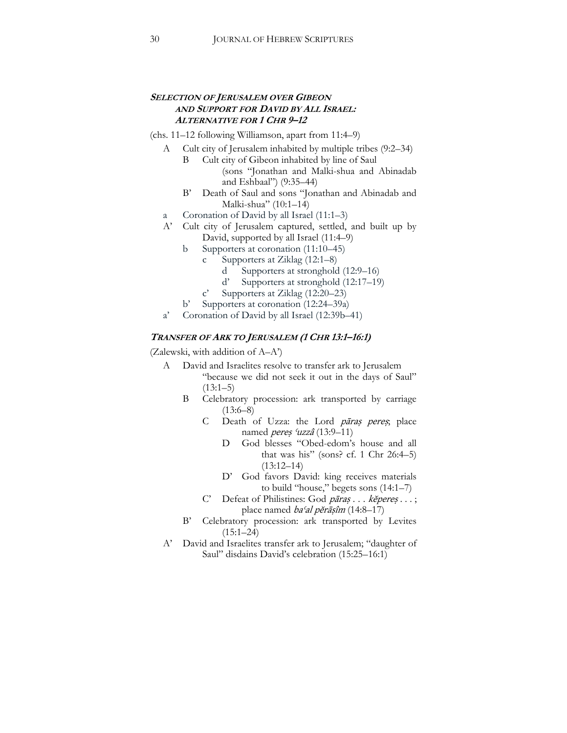#### **SELECTION OF JERUSALEM OVER GIBEON AND SUPPORT FOR DAVID BY ALL ISRAEL: ALTERNATIVE FOR 1 CHR 9–12**

(chs. 11–12 following Williamson, apart from 11:4–9)

- A Cult city of Jerusalem inhabited by multiple tribes (9:2–34)
	- B Cult city of Gibeon inhabited by line of Saul (sons "Jonathan and Malki-shua and Abinadab and Eshbaal") (9:35–44)
	- B' Death of Saul and sons "Jonathan and Abinadab and Malki-shua" (10:1–14)
- a Coronation of David by all Israel (11:1–3)
- A' Cult city of Jerusalem captured, settled, and built up by David, supported by all Israel (11:4–9)
	- b Supporters at coronation (11:10–45)
		- c Supporters at Ziklag (12:1–8)
			- d Supporters at stronghold (12:9–16)
			- d' Supporters at stronghold (12:17–19)
		- c' Supporters at Ziklag (12:20–23)
	- b' Supporters at coronation (12:24–39a)
- a' Coronation of David by all Israel (12:39b–41)

#### **TRANSFER OF ARK TO JERUSALEM (1 CHR 13:1–16:1)**

(Zalewski, with addition of A–A')

- A David and Israelites resolve to transfer ark to Jerusalem "because we did not seek it out in the days of Saul"  $(13:1–5)$ 
	- B Celebratory procession: ark transported by carriage  $(13:6–8)$ 
		- C Death of Uzza: the Lord pāraș pereș, place named *pereș 'uzzâ* (13:9-11)
			- D God blesses "Obed-edom's house and all that was his" (sons? cf. 1 Chr  $26:4-5$ )  $(13:12-14)$
			- D' God favors David: king receives materials to build "house," begets sons (14:1–7)
		- C' Defeat of Philistines: God pāraș . . . kĕpereș . . . ; place named baʿal pĕrāṣîm (14:8–17)
	- B' Celebratory procession: ark transported by Levites  $(15:1–24)$
- A' David and Israelites transfer ark to Jerusalem; "daughter of Saul" disdains David's celebration (15:25–16:1)